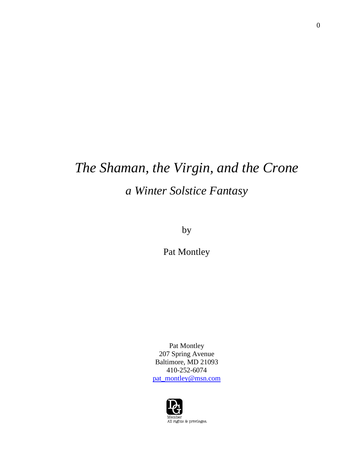# *The Shaman, the Virgin, and the Crone a Winter Solstice Fantasy*

by

Pat Montley

Pat Montley 207 Spring Avenue Baltimore, MD 21093 410-252-6074 [pat\\_montley@msn.com](mailto:pat_montley@msn.com)

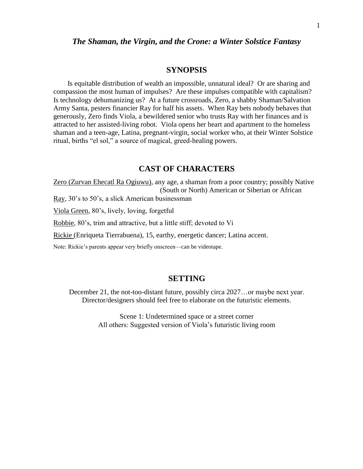#### *The Shaman, the Virgin, and the Crone: a Winter Solstice Fantasy*

#### **SYNOPSIS**

 Is equitable distribution of wealth an impossible, unnatural ideal? Or are sharing and compassion the most human of impulses? Are these impulses compatible with capitalism? Is technology dehumanizing us? At a future crossroads, Zero, a shabby Shaman/Salvation Army Santa, pesters financier Ray for half his assets. When Ray bets nobody behaves that generously, Zero finds Viola, a bewildered senior who trusts Ray with her finances and is attracted to her assisted-living robot. Viola opens her heart and apartment to the homeless shaman and a teen-age, Latina, pregnant-virgin, social worker who, at their Winter Solstice ritual, births "el sol," a source of magical, greed-healing powers.

#### **CAST OF CHARACTERS**

Zero (Zurvan Ehecatl Ra Ogiuwu), any age, a shaman from a poor country; possibly Native (South or North) American or Siberian or African

Ray, 30's to 50's, a slick American businessman

Viola Green, 80's, lively, loving, forgetful

Robbie, 80's, trim and attractive, but a little stiff; devoted to Vi

Rickie (Enriqueta Tierrabuena), 15, earthy, energetic dancer; Latina accent.

Note: Rickie's parents appear very briefly onscreen—can be videotape.

#### **SETTING**

December 21, the not-too-distant future, possibly circa 2027…or maybe next year. Director/designers should feel free to elaborate on the futuristic elements.

> Scene 1: Undetermined space or a street corner All others: Suggested version of Viola's futuristic living room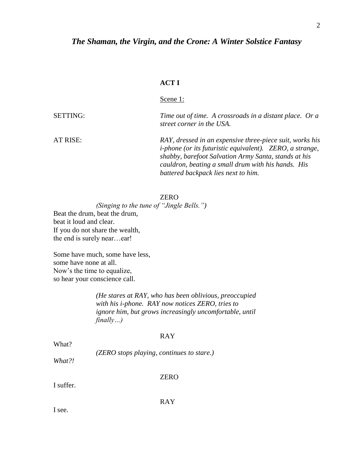### *The Shaman, the Virgin, and the Crone: A Winter Solstice Fantasy*

#### **ACT I**

Scene 1:

SETTING: *Time out of time. A crossroads in a distant place. Or a street corner in the USA.*  AT RISE: *RAY, dressed in an expensive three-piece suit, works his* 

*i-phone (or its futuristic equivalent). ZERO, a strange, shabby, barefoot Salvation Army Santa, stands at his cauldron, beating a small drum with his hands. His battered backpack lies next to him.* 

ZERO

*(Singing to the tune of "Jingle Bells.")* Beat the drum, beat the drum, beat it loud and clear. If you do not share the wealth, the end is surely near…ear!

Some have much, some have less, some have none at all. Now's the time to equalize, so hear your conscience call.

> *(He stares at RAY, who has been oblivious, preoccupied with his i-phone. RAY now notices ZERO, tries to ignore him, but grows increasingly uncomfortable, until finally…)*

#### RAY

What?

*(ZERO stops playing, continues to stare.)*

*What?!*

#### ZERO

I suffer.

RAY

I see.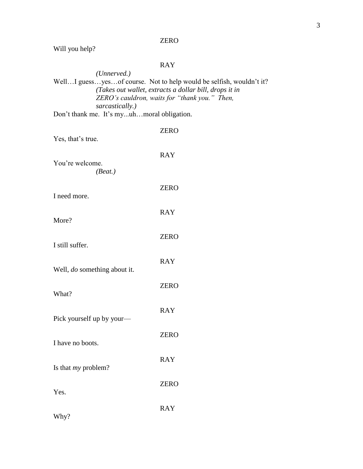|  |  | Will you help? |
|--|--|----------------|
|--|--|----------------|

#### RAY

*(Unnerved.)* Well...I guess...yes...of course. Not to help would be selfish, wouldn't it? *(Takes out wallet, extracts a dollar bill, drops it in ZERO's cauldron, waits for "thank you." Then, sarcastically.)*  Don't thank me. It's my...uh…moral obligation.

| Yes, that's true.            | <b>ZERO</b> |
|------------------------------|-------------|
| You're welcome.<br>(Beat.)   | <b>RAY</b>  |
| I need more.                 | <b>ZERO</b> |
| More?                        | <b>RAY</b>  |
| I still suffer.              | <b>ZERO</b> |
| Well, do something about it. | <b>RAY</b>  |
| What?                        | <b>ZERO</b> |
| Pick yourself up by your—    | <b>RAY</b>  |
| I have no boots.             | <b>ZERO</b> |
| Is that $my$ problem?        | <b>RAY</b>  |
| Yes.                         | <b>ZERO</b> |
| Why?                         | <b>RAY</b>  |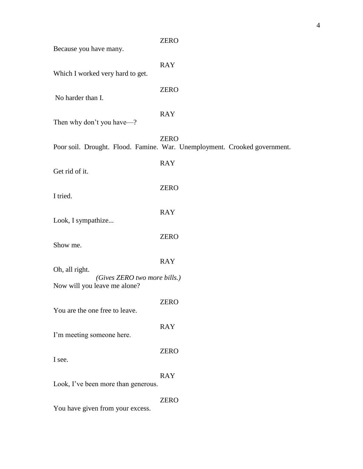| Because you have many.                                                         | <b>ZERO</b>                                                                              |
|--------------------------------------------------------------------------------|------------------------------------------------------------------------------------------|
| Which I worked very hard to get.                                               | <b>RAY</b>                                                                               |
| No harder than I.                                                              | <b>ZERO</b>                                                                              |
| Then why don't you have—?                                                      | <b>RAY</b>                                                                               |
|                                                                                | <b>ZERO</b><br>Poor soil. Drought. Flood. Famine. War. Unemployment. Crooked government. |
| Get rid of it.                                                                 | <b>RAY</b>                                                                               |
| I tried.                                                                       | <b>ZERO</b>                                                                              |
| Look, I sympathize                                                             | <b>RAY</b>                                                                               |
| Show me.                                                                       | <b>ZERO</b>                                                                              |
|                                                                                | <b>RAY</b>                                                                               |
| Oh, all right.<br>(Gives ZERO two more bills.)<br>Now will you leave me alone? |                                                                                          |
| You are the one free to leave.                                                 | <b>ZERO</b>                                                                              |
| I'm meeting someone here.                                                      | <b>RAY</b>                                                                               |
| I see.                                                                         | <b>ZERO</b>                                                                              |
| Look, I've been more than generous.                                            | <b>RAY</b>                                                                               |
| You have given from your excess.                                               | <b>ZERO</b>                                                                              |

4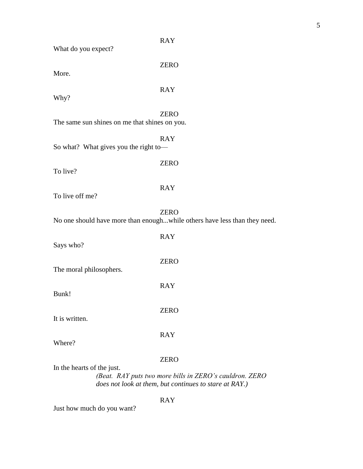| What do you expect?                           | <b>RAY</b>                                                                                                                       |
|-----------------------------------------------|----------------------------------------------------------------------------------------------------------------------------------|
| More.                                         | <b>ZERO</b>                                                                                                                      |
| Why?                                          | <b>RAY</b>                                                                                                                       |
| The same sun shines on me that shines on you. | <b>ZERO</b>                                                                                                                      |
| So what? What gives you the right to-         | <b>RAY</b>                                                                                                                       |
| To live?                                      | <b>ZERO</b>                                                                                                                      |
| To live off me?                               | <b>RAY</b>                                                                                                                       |
|                                               | <b>ZERO</b><br>No one should have more than enoughwhile others have less than they need.                                         |
| Says who?                                     | <b>RAY</b>                                                                                                                       |
| The moral philosophers.                       | <b>ZERO</b>                                                                                                                      |
| Bunk!                                         | <b>RAY</b>                                                                                                                       |
| It is written.                                | <b>ZERO</b>                                                                                                                      |
| Where?                                        | <b>RAY</b>                                                                                                                       |
| In the hearts of the just.                    | <b>ZERO</b><br>(Beat. RAY puts two more bills in ZERO's cauldron. ZERO<br>does not look at them, but continues to stare at RAY.) |
|                                               |                                                                                                                                  |

RAY

Just how much do you want?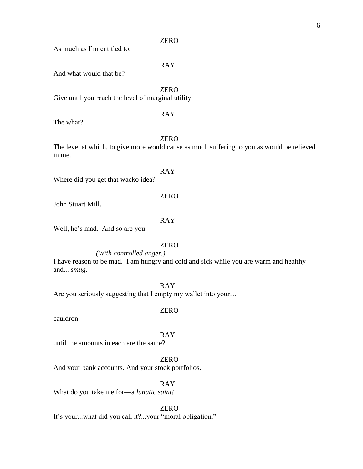As much as I'm entitled to.

RAY

And what would that be?

ZERO Give until you reach the level of marginal utility.

RAY

The what?

ZERO

The level at which, to give more would cause as much suffering to you as would be relieved in me.

RAY Where did you get that wacko idea?

ZERO

John Stuart Mill.

RAY

Well, he's mad. And so are you.

#### ZERO

*(With controlled anger.)*

I have reason to be mad. I am hungry and cold and sick while you are warm and healthy and... *smug.*

RAY

Are you seriously suggesting that I empty my wallet into your...

#### ZERO

cauldron.

RAY

until the amounts in each are the same?

ZERO

And your bank accounts. And your stock portfolios.

RAY

What do you take me for—a *lunatic saint!*

ZERO

It's your...what did you call it?...your "moral obligation."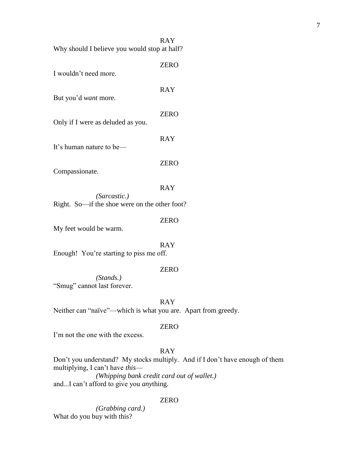|                                              | <b>RAY</b> |
|----------------------------------------------|------------|
| Why should I believe you would stop at half? |            |
|                                              | 7FRO       |

| I wouldn't need more.             | LLIV        |
|-----------------------------------|-------------|
| But you'd <i>want</i> more.       | <b>RAY</b>  |
| Only if I were as deluded as you. | <b>ZERO</b> |
| It's human nature to be—          | RAY         |
|                                   | ZERO        |

Compassionate.

RAY

ZERO

*(Sarcastic.)* Right. So—if the shoe were on the other foot?

My feet would be warm.

RAY Enough! You're starting to piss me off.

#### ZERO

*(Stands.)* "Smug" cannot last forever.

RAY

Neither can "naïve"—which is what you are. Apart from greedy.

#### ZERO

I'm not the one with the excess.

#### RAY

Don't you understand? My stocks multiply. And if I don't have enough of them multiplying, I can't have *this*— *(Whipping bank credit card out of wallet.)* and...I can't afford to give you *any*thing.

#### ZERO

*(Grabbing card.)* What do you buy with this?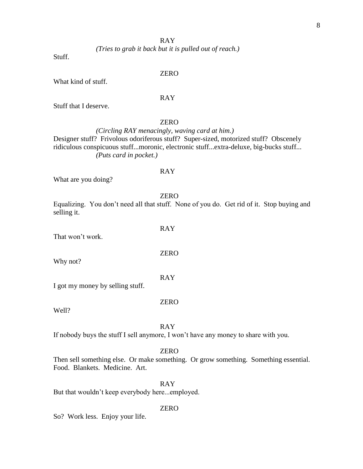#### RAY

*(Tries to grab it back but it is pulled out of reach.)*

Stuff.

#### ZERO

What kind of stuff.

#### RAY

Stuff that I deserve.

#### ZERO

*(Circling RAY menacingly, waving card at him.)* Designer stuff? Frivolous odoriferous stuff? Super-sized, motorized stuff? Obscenely ridiculous conspicuous stuff...moronic, electronic stuff...extra-deluxe, big-bucks stuff... *(Puts card in pocket.)*

#### RAY

What are you doing?

ZERO

RAY

ZERO

RAY

Equalizing. You don't need all that stuff. None of you do. Get rid of it. Stop buying and selling it.

| That won't work. |  |  |
|------------------|--|--|
|                  |  |  |

Why not?

I got my money by selling stuff.

Well?

#### RAY

ZERO

If nobody buys the stuff I sell anymore, I won't have any money to share with you.

#### ZERO

Then sell something else. Or make something. Or grow something. Something essential. Food. Blankets. Medicine. Art.

RAY

But that wouldn't keep everybody here...employed.

#### ZERO

So? Work less. Enjoy your life.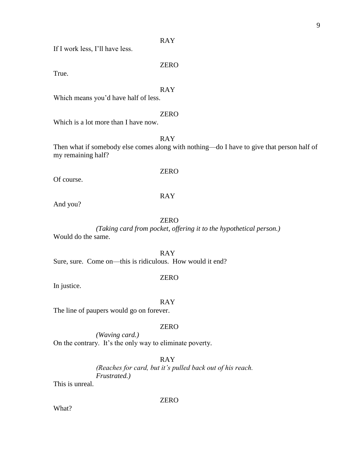RAY

If I work less, I'll have less.

True.

RAY

ZERO

Which means you'd have half of less.

#### ZERO

Which is a lot more than I have now.

RAY

Then what if somebody else comes along with nothing—do I have to give that person half of my remaining half?

Of course.

#### RAY

ZERO

And you?

#### ZERO

*(Taking card from pocket, offering it to the hypothetical person.)* Would do the same.

RAY Sure, sure. Come on—this is ridiculous. How would it end?

#### ZERO

In justice.

RAY

The line of paupers would go on forever.

#### ZERO

*(Waving card.)* On the contrary. It's the only way to eliminate poverty.

RAY

*(Reaches for card, but it's pulled back out of his reach. Frustrated.)*

This is unreal.

ZERO

What?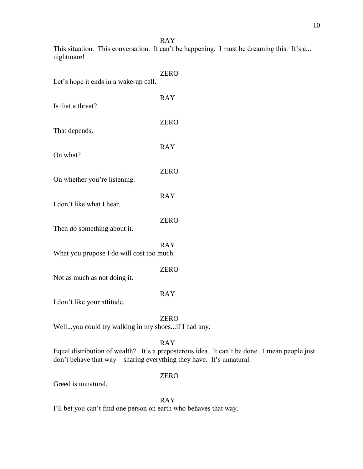RAY This situation. This conversation. It can't be happening. I must be dreaming this. It's a... nightmare!

| Let's hope it ends in a wake-up call.     | <b>ZERO</b> |
|-------------------------------------------|-------------|
| Is that a threat?                         | <b>RAY</b>  |
| That depends.                             | <b>ZERO</b> |
|                                           | <b>RAY</b>  |
| On what?                                  | <b>ZERO</b> |
| On whether you're listening.              | <b>RAY</b>  |
| I don't like what I hear.                 |             |
| Then <i>do</i> something about it.        | <b>ZERO</b> |
| What you propose I do will cost too much. | <b>RAY</b>  |
| Not as much as not doing it.              | <b>ZERO</b> |
|                                           | <b>RAY</b>  |

I don't like your attitude.

ZERO

Well...you could try walking in my shoes...if I had any.

RAY

Equal distribution of wealth? It's a preposterous idea. It can't be done. I mean people just don't behave that way—sharing everything they have. It's unnatural.

#### ZERO

Greed is unnatural.

RAY

I'll bet you can't find one person on earth who behaves that way.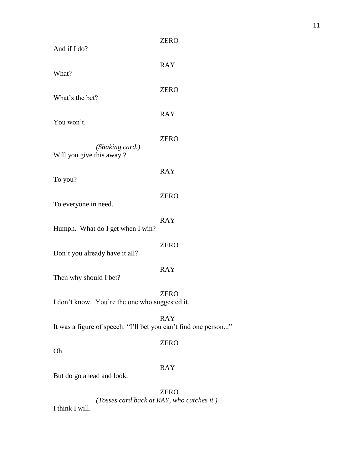| And if I do?                                                    | <b>ZERO</b> |
|-----------------------------------------------------------------|-------------|
| What?                                                           | <b>RAY</b>  |
| What's the bet?                                                 | <b>ZERO</b> |
| You won't.                                                      | <b>RAY</b>  |
| (Shaking card.)<br>Will you give this away?                     | <b>ZERO</b> |
| To you?                                                         | <b>RAY</b>  |
| To everyone in need.                                            | <b>ZERO</b> |
| Humph. What do I get when I win?                                | <b>RAY</b>  |
| Don't you already have it all?                                  | <b>ZERO</b> |
| Then why should I bet?                                          | <b>RAY</b>  |
| I don't know. You're the one who suggested it.                  | <b>ZERO</b> |
| It was a figure of speech: "I'll bet you can't find one person" | <b>RAY</b>  |
| Oh.                                                             | <b>ZERO</b> |
| But do go ahead and look.                                       | <b>RAY</b>  |
|                                                                 |             |

ZERO *(Tosses card back at RAY, who catches it.)* I think I will.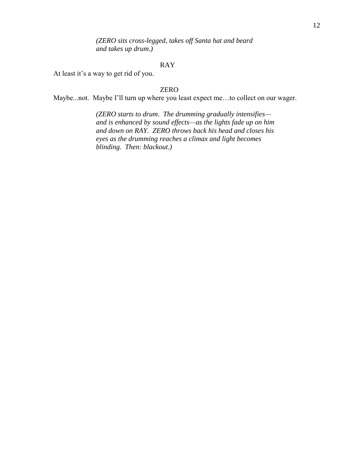*(ZERO sits cross-legged, takes off Santa hat and beard and takes up drum.)*

#### RAY

At least it's a way to get rid of you.

#### ZERO

Maybe...not. Maybe I'll turn up where you least expect me…to collect on our wager.

*(ZERO starts to drum*. *The drumming gradually intensifies and is enhanced by sound effects—as the lights fade up on him and down on RAY. ZERO throws back his head and closes his eyes as the drumming reaches a climax and light becomes blinding. Then: blackout.)*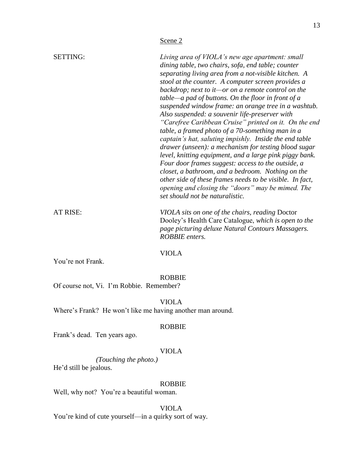|                 | Scene 2                                                                                                                                                                                                                                                                                                                                                                                                                                                                                                                                                                                                                                                                                                                                                                                                                                                                                                                                                                                              |
|-----------------|------------------------------------------------------------------------------------------------------------------------------------------------------------------------------------------------------------------------------------------------------------------------------------------------------------------------------------------------------------------------------------------------------------------------------------------------------------------------------------------------------------------------------------------------------------------------------------------------------------------------------------------------------------------------------------------------------------------------------------------------------------------------------------------------------------------------------------------------------------------------------------------------------------------------------------------------------------------------------------------------------|
| <b>SETTING:</b> | Living area of VIOLA's new age apartment: small<br>dining table, two chairs, sofa, end table; counter<br>separating living area from a not-visible kitchen. A<br>stool at the counter. A computer screen provides a<br>backdrop; next to it—or on a remote control on the<br>$table—a pad of buttons. On the floor in front of a$<br>suspended window frame: an orange tree in a washtub.<br>Also suspended: a souvenir life-preserver with<br>"Carefree Caribbean Cruise" printed on it. On the end<br>table, a framed photo of a 70-something man in a<br>captain's hat, saluting impishly. Inside the end table<br>drawer (unseen): a mechanism for testing blood sugar<br>level, knitting equipment, and a large pink piggy bank.<br>Four door frames suggest: access to the outside, a<br>closet, a bathroom, and a bedroom. Nothing on the<br>other side of these frames needs to be visible. In fact,<br>opening and closing the "doors" may be mimed. The<br>set should not be naturalistic. |
| AT RISE:        | VIOLA sits on one of the chairs, reading Doctor<br>Dooley's Health Care Catalogue, which is open to the<br>page picturing deluxe Natural Contours Massagers.<br><b>ROBBIE</b> enters.                                                                                                                                                                                                                                                                                                                                                                                                                                                                                                                                                                                                                                                                                                                                                                                                                |
|                 | VIOLA                                                                                                                                                                                                                                                                                                                                                                                                                                                                                                                                                                                                                                                                                                                                                                                                                                                                                                                                                                                                |

13

You're not Frank.

#### ROBBIE

Of course not, Vi. I'm Robbie. Remember?

VIOLA

Where's Frank? He won't like me having another man around.

#### ROBBIE

Frank's dead. Ten years ago.

#### VIOLA

*(Touching the photo.)* He'd still be jealous.

#### ROBBIE

Well, why not? You're a beautiful woman.

VIOLA

You're kind of cute yourself—in a quirky sort of way.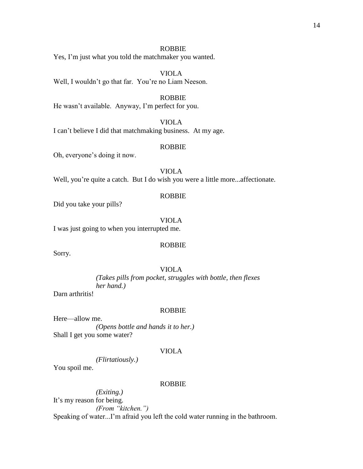#### ROBBIE

Yes, I'm just what you told the matchmaker you wanted.

VIOLA Well, I wouldn't go that far. You're no Liam Neeson.

#### ROBBIE

He wasn't available. Anyway, I'm perfect for you.

#### VIOLA

I can't believe I did that matchmaking business. At my age.

#### ROBBIE

Oh, everyone's doing it now.

#### VIOLA

Well, you're quite a catch. But I do wish you were a little more...affectionate.

#### ROBBIE

Did you take your pills?

#### VIOLA

I was just going to when you interrupted me.

#### ROBBIE

Sorry.

#### VIOLA

*(Takes pills from pocket, struggles with bottle, then flexes her hand.)*

Darn arthritis!

#### ROBBIE

Here—allow me. *(Opens bottle and hands it to her.)* Shall I get you some water?

#### VIOLA

*(Flirtatiously.)*

You spoil me.

#### ROBBIE

*(Exiting.)* It's my reason for being. *(From "kitchen.")* Speaking of water...I'm afraid you left the cold water running in the bathroom.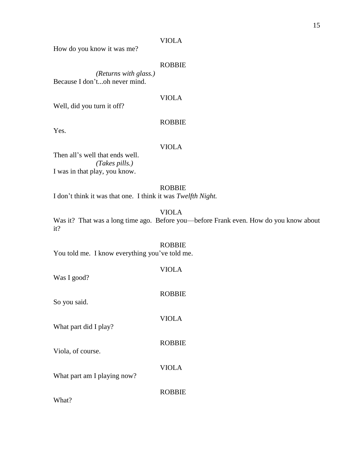How do you know it was me?

#### ROBBIE

*(Returns with glass.)* Because I don't...oh never mind.

#### VIOLA

Well, did you turn it off?

#### ROBBIE

Yes.

#### VIOLA

Then all's well that ends well. *(Takes pills.)* I was in that play, you know.

#### ROBBIE

I don't think it was that one. I think it was *Twelfth Night.*

VIOLA

Was it? That was a long time ago. Before you—before Frank even. How do you know about it?

ROBBIE You told me. I know everything you've told me.

| Was I good?                 | VIOLA         |
|-----------------------------|---------------|
| So you said.                | <b>ROBBIE</b> |
| What part did I play?       | <b>VIOLA</b>  |
| Viola, of course.           | <b>ROBBIE</b> |
| What part am I playing now? | <b>VIOLA</b>  |
| What?                       | <b>ROBBIE</b> |
|                             |               |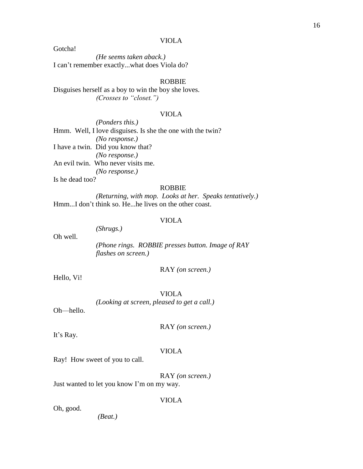Gotcha!

*(He seems taken aback.)* I can't remember exactly...what does Viola do?

#### ROBBIE

Disguises herself as a boy to win the boy she loves. *(Crosses to "closet.")*

#### VIOLA

*(Ponders this.)* Hmm. Well, I love disguises. Is she the one with the twin? *(No response.)* I have a twin. Did you know that? *(No response.)* An evil twin. Who never visits me. *(No response.)* Is he dead too?

#### ROBBIE

*(Returning, with mop. Looks at her. Speaks tentatively.)* Hmm...I don't think so. He...he lives on the other coast.

#### VIOLA

Oh well.

*(Phone rings. ROBBIE presses button. Image of RAY flashes on screen.)*

RAY *(on screen.)*

Hello, Vi!

VIOLA *(Looking at screen, pleased to get a call.)*

Oh—hello.

RAY *(on screen.)*

It's Ray.

#### VIOLA

Ray! How sweet of you to call.

*(Shrugs.)*

RAY *(on screen.)*

Just wanted to let you know I'm on my way.

VIOLA

Oh, good.

*(Beat.)*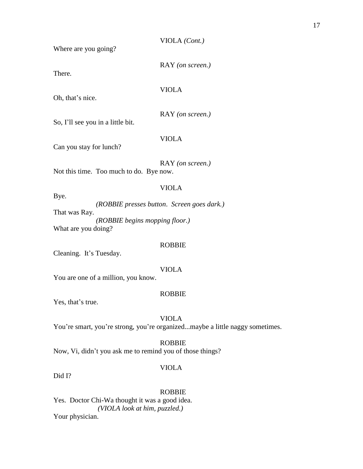|  | VIOLA (Cont.) |  |
|--|---------------|--|
|  |               |  |

RAY *(on screen.)*

Where are you going?

There.

VIOLA

Oh, that's nice.

RAY *(on screen.)*

So, I'll see you in a little bit.

VIOLA

Can you stay for lunch?

RAY *(on screen.)* Not this time. Too much to do. Bye now.

#### VIOLA

Bye. *(ROBBIE presses button*. *Screen goes dark.)* That was Ray. *(ROBBIE begins mopping floor.)* What are you doing?

#### ROBBIE

Cleaning. It's Tuesday.

#### VIOLA

You are one of a million, you know.

#### ROBBIE

Yes, that's true.

#### VIOLA

You're smart, you're strong, you're organized...maybe a little naggy sometimes.

#### ROBBIE

Now, Vi, didn't you ask me to remind you of those things?

#### VIOLA

Did I?

#### ROBBIE

Yes. Doctor Chi-Wa thought it was a good idea. *(VIOLA look at him, puzzled.)* Your physician.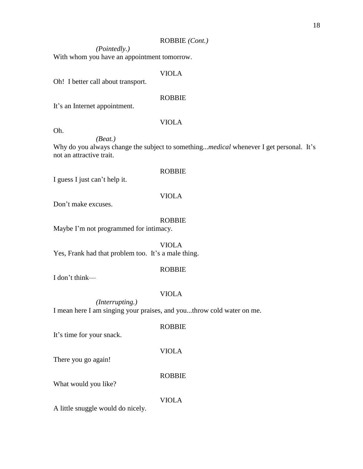#### ROBBIE *(Cont.)*

*(Pointedly.)*

With whom you have an appointment tomorrow.

#### VIOLA

Oh! I better call about transport.

#### ROBBIE

It's an Internet appointment.

#### Oh.

VIOLA

*(Beat.)* Why do you always change the subject to something...*medical* whenever I get personal. It's not an attractive trait.

#### ROBBIE

I guess I just can't help it.

#### VIOLA

Don't make excuses.

#### ROBBIE

Maybe I'm not programmed for intimacy.

VIOLA Yes, Frank had that problem too. It's a male thing.

#### ROBBIE

I don't think—

#### VIOLA

*(Interrupting.)* I mean here I am singing your praises, and you...throw cold water on me.

#### ROBBIE

It's time for your snack.

#### VIOLA

There you go again!

#### ROBBIE

What would you like?

#### VIOLA

A little snuggle would do nicely.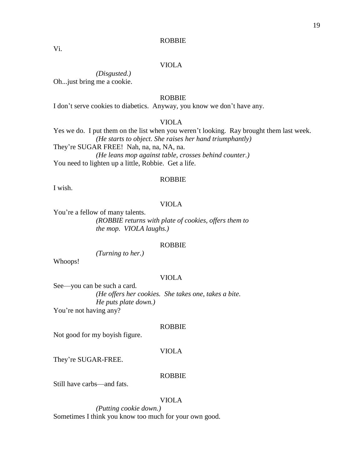#### ROBBIE

Vi.

#### VIOLA

*(Disgusted.)* Oh...just bring me a cookie.

#### ROBBIE

I don't serve cookies to diabetics. Anyway, you know we don't have any.

#### VIOLA

Yes we do. I put them on the list when you weren't looking. Ray brought them last week. *(He starts to object. She raises her hand triumphantly)* They're SUGAR FREE! Nah, na, na, NA, na. *(He leans mop against table, crosses behind counter.)* You need to lighten up a little, Robbie. Get a life.

#### ROBBIE

I wish.

#### VIOLA

You're a fellow of many talents.

*(ROBBIE returns with plate of cookies, offers them to the mop. VIOLA laughs.)*

#### ROBBIE

*(Turning to her.)*

Whoops!

#### VIOLA

See—you can be such a card*. (He offers her cookies. She takes one, takes a bite. He puts plate down.)* You're not having any?

#### ROBBIE

Not good for my boyish figure.

#### VIOLA

They're SUGAR-FREE.

#### ROBBIE

Still have carbs—and fats.

#### VIOLA

*(Putting cookie down.)* Sometimes I think you know too much for your own good.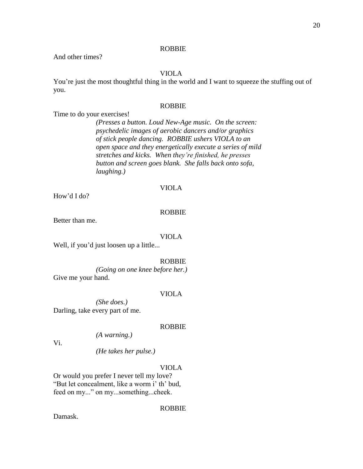#### ROBBIE

And other times?

#### VIOLA

You're just the most thoughtful thing in the world and I want to squeeze the stuffing out of you.

#### ROBBIE

Time to do your exercises!

*(Presses a button. Loud New-Age music. On the screen: psychedelic images of aerobic dancers and/or graphics of stick people dancing. ROBBIE ushers VIOLA to an open space and they energetically execute a series of mild stretches and kicks. When they're finished, he presses button and screen goes blank. She falls back onto sofa, laughing.)*

#### VIOLA

How'd I do?

#### ROBBIE

Better than me.

#### VIOLA

Well, if you'd just loosen up a little...

#### ROBBIE

*(Going on one knee before her.)* Give me your hand.

#### VIOLA

*(She does.)* Darling, take every part of me.

#### ROBBIE

*(A warning.)*

Vi.

*(He takes her pulse.)*

#### VIOLA

Or would you prefer I never tell my love? "But let concealment, like a worm i' th' bud, feed on my..." on my...something...cheek.

#### ROBBIE

Damask.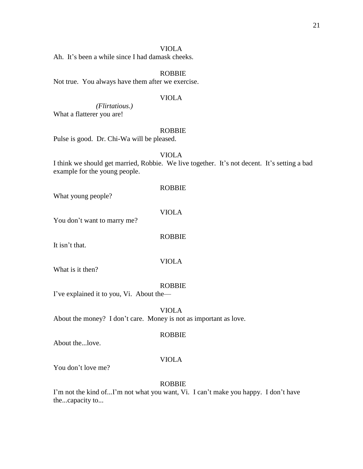Ah. It's been a while since I had damask cheeks.

#### ROBBIE

Not true. You always have them after we exercise.

#### VIOLA

*(Flirtatious.)* What a flatterer you are!

#### ROBBIE

Pulse is good. Dr. Chi-Wa will be pleased.

#### VIOLA

I think we should get married, Robbie. We live together. It's not decent. It's setting a bad example for the young people.

What young people?

VIOLA

ROBBIE

You don't want to marry me?

ROBBIE

VIOLA

It isn't that.

What is it then?

#### ROBBIE

I've explained it to you, Vi. About the—

VIOLA About the money? I don't care. Money is not as important as love.

#### ROBBIE

About the...love.

#### VIOLA

You don't love me?

#### ROBBIE

I'm not the kind of...I'm not what you want, Vi. I can't make you happy. I don't have the...capacity to...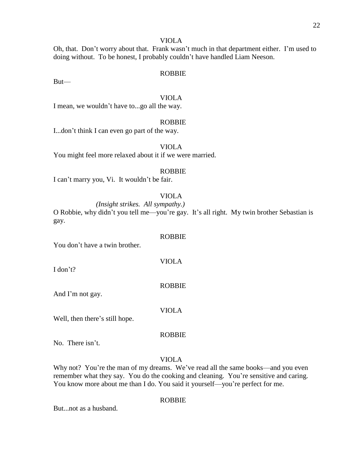Oh, that. Don't worry about that. Frank wasn't much in that department either. I'm used to doing without. To be honest, I probably couldn't have handled Liam Neeson.

#### ROBBIE

But—

#### VIOLA

I mean, we wouldn't have to...go all the way.

#### ROBBIE

I...don't think I can even go part of the way.

VIOLA

You might feel more relaxed about it if we were married.

#### ROBBIE

I can't marry you, Vi. It wouldn't be fair.

#### VIOLA

ROBBIE

VIOLA

ROBBIE

VIOLA

*(Insight strikes. All sympathy.)* O Robbie, why didn't you tell me—you're gay. It's all right. My twin brother Sebastian is gay.

You don't have a twin brother.

I don't?

And I'm not gay.

Well, then there's still hope.

ROBBIE

No. There isn't.

#### VIOLA

Why not? You're the man of my dreams. We've read all the same books—and you even remember what they say. You do the cooking and cleaning. You're sensitive and caring. You know more about me than I do. You said it yourself—you're perfect for me.

#### ROBBIE

But...not as a husband.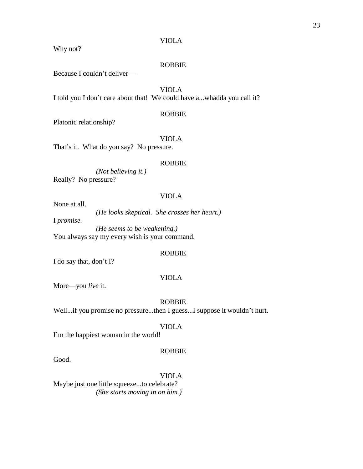Why not?

#### ROBBIE

Because I couldn't deliver—

#### VIOLA

I told you I don't care about that! We could have a...whadda you call it?

#### ROBBIE

Platonic relationship?

#### VIOLA

That's it. What do you say? No pressure.

#### ROBBIE

*(Not believing it.)* Really? No pressure?

#### VIOLA

None at all.

*(He looks skeptical. She crosses her heart.)*

I *promise.*

*(He seems to be weakening.)* You always say my every wish is your command.

#### ROBBIE

I do say that, don't I?

#### VIOLA

More—you *live* it.

#### ROBBIE

Well...if you promise no pressure...then I guess...I suppose it wouldn't hurt.

#### VIOLA

I'm the happiest woman in the world!

#### ROBBIE

Good.

#### VIOLA

Maybe just one little squeeze...to celebrate? *(She starts moving in on him.)*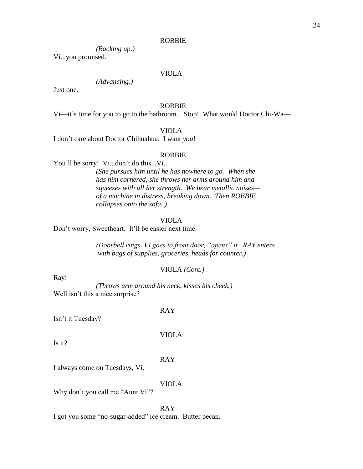#### ROBBIE

*(Backing up.)*

Vi...you promised.

#### VIOLA

#### *(Advancing.)*

Just one.

#### ROBBIE

Vi—it's time for you to go to the bathroom. Stop! What would Doctor Chi-Wa—

#### VIOLA

I don't care about Doctor Chihuahua. I want *you*!

#### ROBBIE

You'll be sorry! Vi...don't do this...Vi... *(She pursues him until he has nowhere to go. When she has him cornered, she throws her arms around him and squeezes with all her strength. We hear metallic noises of a machine in distress, breaking down. Then ROBBIE collapses onto the sofa. )*

#### VIOLA

Don't worry, Sweetheart. It'll be easier next time.

*(Doorbell rings. VI goes to front door, "opens" it. RAY enters with bags of supplies, groceries, heads for counter.)*

#### VIOLA *(Cont.)*

Ray!

*(Throws arm around his neck, kisses his cheek.)* Well isn't this a nice surprise?

Isn't it Tuesday?

Is it?

RAY

VIOLA

RAY

I always come on Tuesdays, Vi.

VIOLA

Why don't you call me "Aunt Vi"?

RAY I got you some "no-sugar-added" ice cream. Butter pecan.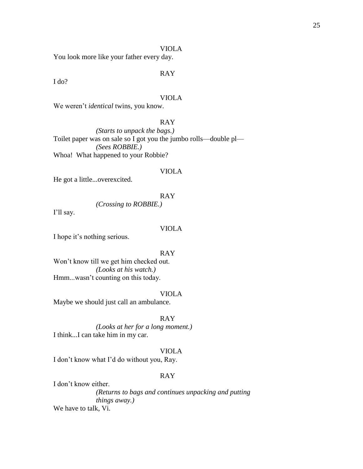You look more like your father every day.

#### RAY

I do?

#### VIOLA

We weren't *identical* twins, you know.

#### RAY

*(Starts to unpack the bags.)* Toilet paper was on sale so I got you the jumbo rolls—double pl— *(Sees ROBBIE.)* Whoa! What happened to your Robbie?

#### VIOLA

He got a little...overexcited.

#### RAY

*(Crossing to ROBBIE.)*

I'll say.

#### VIOLA

I hope it's nothing serious.

#### RAY

Won't know till we get him checked out. *(Looks at his watch.)* Hmm...wasn't counting on this today.

#### VIOLA

Maybe we should just call an ambulance.

#### RAY

*(Looks at her for a long moment.)* I think...I can take him in my car.

#### VIOLA

I don't know what I'd do without you, Ray.

#### RAY

I don't know either. *(Returns to bags and continues unpacking and putting things away.)* We have to talk, Vi.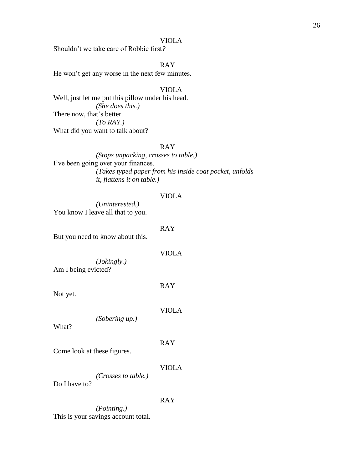Shouldn't we take care of Robbie first*?*

RAY

He won't get any worse in the next few minutes.

#### VIOLA

Well, just let me put this pillow under his head. *(She does this.)* There now, that's better. *(To RAY.)* What did you want to talk about?

#### RAY

*(Stops unpacking, crosses to table.)* I've been going over your finances. *(Takes typed paper from his inside coat pocket, unfolds it, flattens it on table.)*

#### VIOLA

*(Uninterested.)* You know I leave all that to you.

#### RAY

But you need to know about this.

#### VIOLA

*(Jokingly.)* Am I being evicted?

RAY

Not yet.

VIOLA

What?

RAY

Come look at these figures.

VIOLA

*(Crosses to table.)*

*(Sobering up.)*

Do I have to?

#### RAY

*(Pointing.)* This is your savings account total.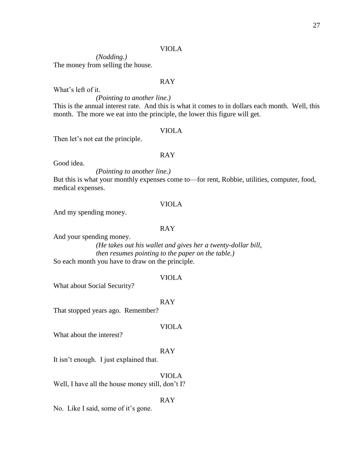*(Nodding.)* The money from selling the house.

#### RAY

What's left of it.

#### *(Pointing to another line.)*

This is the annual interest rate. And this is what it comes to in dollars each month. Well, this month. The more we eat into the principle, the lower this figure will get.

#### VIOLA

Then let's not eat the principle.

#### RAY

Good idea.

*(Pointing to another line.)*

But this is what your monthly expenses come to—for rent, Robbie, utilities, computer, food, medical expenses.

#### VIOLA

And my spending money.

#### RAY

And your spending money.

#### *(He takes out his wallet and gives her a twenty-dollar bill, then resumes pointing to the paper on the table.)* So each month you have to draw on the principle.

#### VIOLA

What about Social Security?

RAY

That stopped years ago. Remember?

#### VIOLA

What about the interest?

#### RAY

It isn't enough. I just explained that.

#### VIOLA

Well, I have all the house money still, don't I?

#### RAY

No. Like I said, some of it's gone.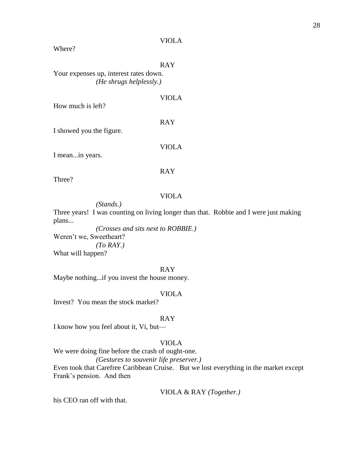Where?

RAY

Your expenses up, interest rates down. *(He shrugs helplessly.)*

How much is left?

RAY

VIOLA

I showed you the figure.

I mean...in years.

#### RAY

VIOLA

Three?

#### VIOLA

*(Stands.)*

Three years! I was counting on living longer than that. Robbie and I were just making plans...

*(Crosses and sits next to ROBBIE.)* Weren't we, Sweetheart? *(To RAY.)* What will happen?

RAY

Maybe nothing...if you invest the house money.

#### VIOLA

Invest? You mean the stock market?

#### RAY

I know how you feel about it, Vi, but—

#### VIOLA

We were doing fine before the crash of ought-one.

*(Gestures to souvenir life preserver.)*

Even took that Carefree Caribbean Cruise. But we lost everything in the market except Frank's pension. And then

#### VIOLA & RAY *(Together.)*

his CEO ran off with that.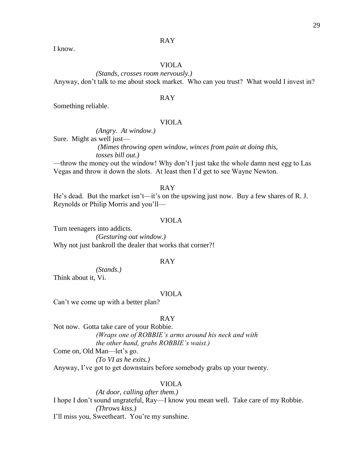#### RAY

I know.

#### VIOLA

*(Stands, crosses room nervously.)* Anyway, don't talk to me about stock market. Who can you trust? What would I invest in?

#### RAY

Something reliable.

#### VIOLA

*(Angry. At window.)*

Sure. Might as well just—

*(Mimes throwing open window, winces from pain at doing this, tosses bill out.)*

—throw the money out the window! Why don't I just take the whole damn nest egg to Las Vegas and throw it down the slots. At least then I'd get to see Wayne Newton.

RAY

He's dead. But the market isn't—it's on the upswing just now. Buy a few shares of R. J. Reynolds or Philip Morris and you'll—

#### VIOLA

Turn teenagers into addicts. *(Gesturing out window.)* Why not just bankroll the dealer that works that corner?!

#### RAY

*(Stands.)*

Think about it, Vi.

#### VIOLA

Can't we come up with a better plan?

#### RAY

Not now. Gotta take care of your Robbie. *(Wraps one of ROBBIE's arms around his neck and with the other hand, grabs ROBBIE's waist.)* Come on, Old Man—let's go. *(To VI as he exits.)* Anyway, I've got to get downstairs before somebody grabs up your twenty.

#### VIOLA

*(At door, calling after them.)* I hope I don't sound ungrateful, Ray—I know you mean well. Take care of my Robbie. *(Throws kiss.)* I'll miss you, Sweetheart. You're my sunshine.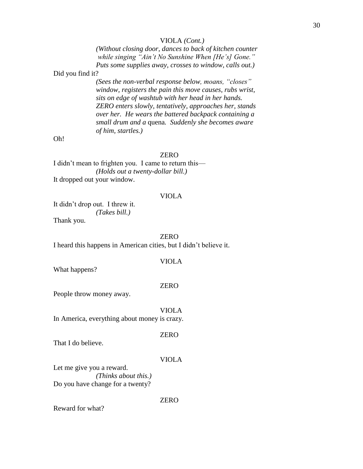#### VIOLA *(Cont.)*

*(Without closing door, dances to back of kitchen counter while singing "Ain't No Sunshine When [He's] Gone." Puts some supplies away, crosses to window, calls out.)*

Did you find it?

*(Sees the non-verbal response below, moans, "closes" window, registers the pain this move causes, rubs wrist, sits on edge of washtub with her head in her hands. ZERO enters slowly, tentatively, approaches her, stands over her. He wears the battered backpack containing a small drum and a* quena*. Suddenly she becomes aware of him, startles.)*

Oh!

#### ZERO

I didn't mean to frighten you. I came to return this— *(Holds out a twenty-dollar bill.)* It dropped out your window.

#### VIOLA

It didn't drop out. I threw it. *(Takes bill.)* Thank you.

ZERO

I heard this happens in American cities, but I didn't believe it.

#### VIOLA

What happens?

#### ZERO

People throw money away.

VIOLA

In America, everything about money is crazy.

ZERO

That I do believe.

#### VIOLA

Let me give you a reward. *(Thinks about this.)* Do you have change for a twenty?

ZERO

Reward for what?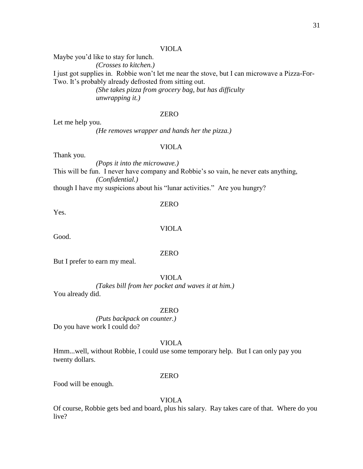Maybe you'd like to stay for lunch. *(Crosses to kitchen.)* I just got supplies in. Robbie won't let me near the stove, but I can microwave a Pizza-For-Two. It's probably already defrosted from sitting out. *(She takes pizza from grocery bag, but has difficulty* 

*unwrapping it.)*

#### ZERO

Let me help you.

*(He removes wrapper and hands her the pizza.)*

#### VIOLA

Thank you.

*(Pops it into the microwave.)* This will be fun. I never have company and Robbie's so vain, he never eats anything, *(Confidential.)*

though I have my suspicions about his "lunar activities." Are you hungry?

Yes.

VIOLA

ZERO

Good.

#### ZERO

But I prefer to earn my meal.

#### VIOLA

*(Takes bill from her pocket and waves it at him.)* You already did.

#### ZERO

*(Puts backpack on counter.)* Do you have work I could do?

#### VIOLA

Hmm...well, without Robbie, I could use some temporary help. But I can only pay you twenty dollars.

#### ZERO

Food will be enough.

VIOLA

Of course, Robbie gets bed and board, plus his salary. Ray takes care of that. Where do you live?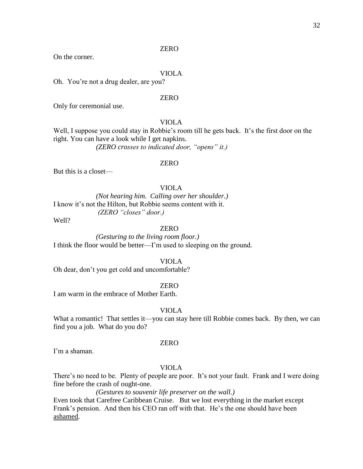On the corner.

#### VIOLA

Oh. You're not a drug dealer, are you?

#### ZERO

Only for ceremonial use.

#### VIOLA

Well, I suppose you could stay in Robbie's room till he gets back. It's the first door on the right. You can have a look while I get napkins.

*(ZERO crosses to indicated door, "opens" it.)*

#### ZERO

But this is a closet—

#### VIOLA

*(Not hearing him. Calling over her shoulder.)* I know it's not the Hilton, but Robbie seems content with it. *(ZERO "closes" door.)*

Well?

#### ZERO

*(Gesturing to the living room floor.)* I think the floor would be better—I'm used to sleeping on the ground.

VIOLA

Oh dear, don't you get cold and uncomfortable?

ZERO

I am warm in the embrace of Mother Earth.

#### VIOLA

What a romantic! That settles it—you can stay here till Robbie comes back. By then, we can find you a job. What do you do?

#### ZERO

I'm a shaman.

#### VIOLA

There's no need to be. Plenty of people are poor. It's not your fault. Frank and I were doing fine before the crash of ought-one.

*(Gestures to souvenir life preserver on the wall.)*

Even took that Carefree Caribbean Cruise. But we lost everything in the market except Frank's pension. And then his CEO ran off with that. He's the one should have been ashamed.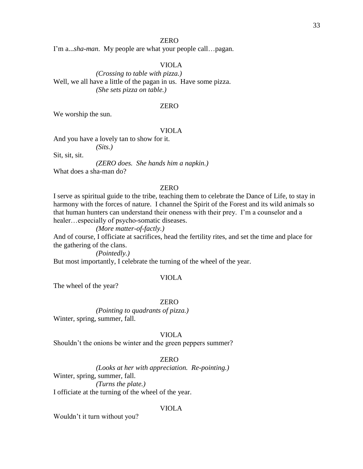I'm a...*sha-man*. My people are what your people call…pagan.

#### VIOLA

*(Crossing to table with pizza.)* Well, we all have a little of the pagan in us. Have some pizza. *(She sets pizza on table.)*

#### ZERO

We worship the sun.

#### VIOLA

And you have a lovely tan to show for it.

*(Sits.)*

Sit, sit, sit.

*(ZERO does. She hands him a napkin.)*

What does a sha-man do?

#### ZERO

I serve as spiritual guide to the tribe, teaching them to celebrate the Dance of Life, to stay in harmony with the forces of nature. I channel the Spirit of the Forest and its wild animals so that human hunters can understand their oneness with their prey. I'm a counselor and a healer…especially of psycho-somatic diseases.

#### *(More matter-of-factly.)*

And of course, I officiate at sacrifices, head the fertility rites, and set the time and place for the gathering of the clans.

*(Pointedly.)*

But most importantly, I celebrate the turning of the wheel of the year.

#### VIOLA

The wheel of the year?

#### ZERO

*(Pointing to quadrants of pizza.)* Winter, spring, summer, fall.

#### VIOLA

Shouldn't the onions be winter and the green peppers summer?

#### ZERO

*(Looks at her with appreciation. Re-pointing.)* Winter, spring, summer, fall. *(Turns the plate.)* I officiate at the turning of the wheel of the year.

#### VIOLA

Wouldn't it turn without you?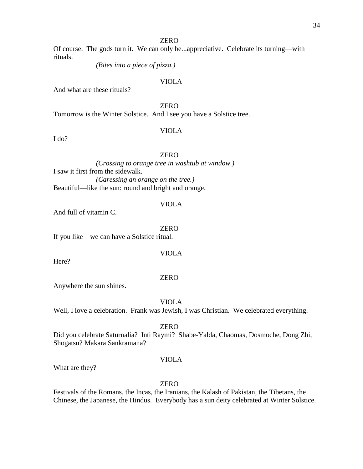Of course. The gods turn it. We can only be...appreciative. Celebrate its turning—with rituals.

*(Bites into a piece of pizza.)*

#### VIOLA

And what are these rituals?

ZERO

Tomorrow is the Winter Solstice. And I see you have a Solstice tree.

#### VIOLA

I do?

#### ZERO

*(Crossing to orange tree in washtub at window.)* I saw it first from the sidewalk. *(Caressing an orange on the tree.)* Beautiful—like the sun: round and bright and orange.

#### VIOLA

And full of vitamin C.

ZERO

VIOLA

If you like—we can have a Solstice ritual.

Here?

#### ZERO

Anywhere the sun shines.

VIOLA

Well, I love a celebration. Frank was Jewish, I was Christian. We celebrated everything.

#### ZERO

Did you celebrate Saturnalia? Inti Raymi? Shabe-Yalda, Chaomas, Dosmoche, Dong Zhi, Shogatsu? Makara Sankramana?

#### VIOLA

What are they?

#### ZERO

Festivals of the Romans, the Incas, the Iranians, the Kalash of Pakistan, the Tibetans, the Chinese, the Japanese, the Hindus. Everybody has a sun deity celebrated at Winter Solstice.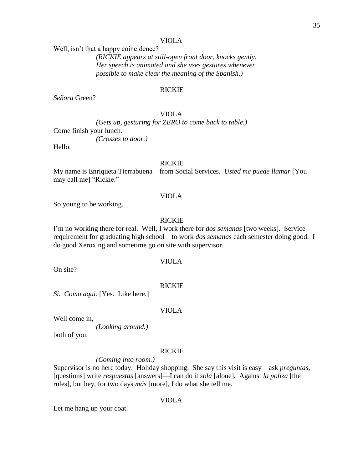Well, isn't that a happy coincidence?

*(RICKIE appears at still-open front door, knocks gently. Her speech is animated and she uses gestures whenever possible to make clear the meaning of the Spanish.)*

#### RICKIE

*Señora* Green?

#### VIOLA

*(Gets up, gesturing for ZERO to come back to table.)* Come finish your lunch. *(Crosses to door.)*

Hello.

#### RICKIE

My name is Enriqueta Tierrabuena—from Social Services. *Usted me puede llamar* [You may call me] "Rickie."

#### VIOLA

So young to be working.

#### RICKIE

I'm no working there for real. Well, I work there for *dos semanas* [two weeks]. Service requirement for graduating high school—to work *dos semanas* each semester doing good. I do good Xeroxing and sometime go on site with supervisor.

On site?

## VIOLA

RICKIE

*Si. Como aqui.* [Yes. Like here.]

#### VIOLA

Well come in,

*(Looking around.)*

both of you.

#### RICKIE

*(Coming into room.)*

Supervisor is no here today. Holiday shopping. She say this visit is easy—ask *preguntas,* [questions] write *respuestas* [answers]—I can do it *sola* [alone]. Against *la poliza* [the rules], but hey, for two days *más* [more], I do what she tell me.

#### VIOLA

Let me hang up your coat.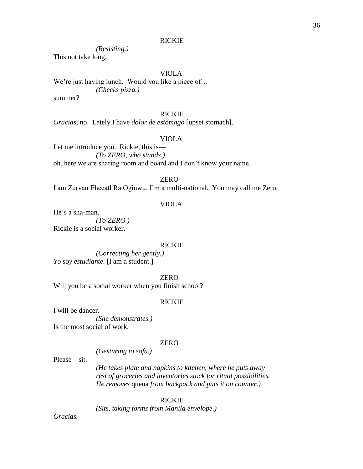## RICKIE

*(Resisting.)*

This not take long.

# VIOLA

We're just having lunch. Would you like a piece of... *(Checks pizza.)* summer?

#### RICKIE

*Gracias*, no. Lately I have *dolor de estómago* [upset stomach].

## VIOLA

Let me introduce you. Rickie, this is— *(To ZERO, who stands.)* oh, here we are sharing room and board and I don't know your name.

## ZERO

I am Zurvan Ehecatl Ra Ogiuwu. I'm a multi-national. You may call me Zero.

## VIOLA

He's a sha-man.

*(To ZERO.)* Rickie is a social worker.

#### RICKIE

*(Correcting her gently.) Yo soy estudiante.* [I am a student.]

ZERO

Will you be a social worker when you finish school?

*(Gesturing to sofa.)*

## RICKIE

I will be dancer.

*(She demonstrates.)* Is the most social of work.

## ZERO

Please—sit.

*(He takes plate and napkins to kitchen, where he puts away rest of groceries and inventories stock for ritual possibilities. He removes* quena *from backpack and puts it on counter.)*

#### RICKIE

*(Sits, taking forms from Manila envelope.)*

*Gracias.*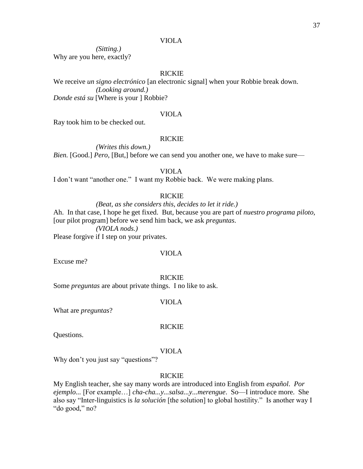*(Sitting.)* Why are you here, exactly?

# RICKIE

We receive *un signo electrónico* [an electronic signal] when your Robbie break down. *(Looking around.) Donde está su* [Where is your ] Robbie?

#### VIOLA

Ray took him to be checked out.

## RICKIE

*(Writes this down.) Bien.* [Good.] *Pero*, [But,] before we can send you another one, we have to make sure—

#### VIOLA

I don't want "another one." I want my Robbie back. We were making plans.

## RICKIE

*(Beat, as she considers this, decides to let it ride.)* Ah. In that case, I hope he get fixed. But, because you are part of *nuestro programa piloto,* [our pilot program] before we send him back, we ask *preguntas*. *(VIOLA nods.)* Please forgive if I step on your privates.

# VIOLA

Excuse me?

#### RICKIE

Some *preguntas* are about private things. I no like to ask.

#### VIOLA

What are *preguntas*?

#### RICKIE

Questions.

#### VIOLA

Why don't you just say "questions"?

## RICKIE

My English teacher, she say many words are introduced into English from *español*. *Por ejemplo...* [For example…] *cha-cha...y...salsa...y...merengue*. So—I introduce more. She also say "Inter-linguistics is *la solución* [the solution] to global hostility." Is another way I "do good," no?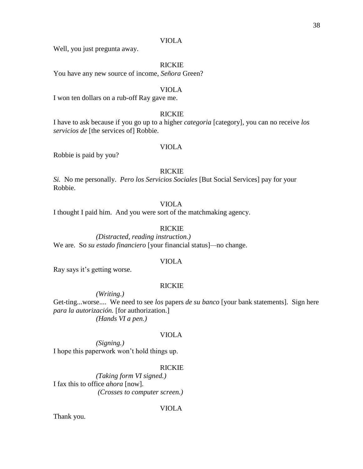Well, you just pregunta away.

## RICKIE

You have any new source of income, *Señora* Green?

## VIOLA

I won ten dollars on a rub-off Ray gave me.

#### RICKIE

I have to ask because if you go up to a higher *categoria* [category], you can no receive *los servicios de* [the services of] Robbie.

## VIOLA

Robbie is paid by you?

#### RICKIE

*Si.* No me personally. *Pero los Servicios Sociales* [But Social Services] pay for your Robbie.

## VIOLA

I thought I paid him. And you were sort of the matchmaking agency.

## RICKIE

*(Distracted, reading instruction.)* We are. So *su estado financiero* [your financial status]*—*no change.

#### VIOLA

Ray says it's getting worse.

#### RICKIE

*(Writing.)* Get-ting...worse.... We need to see *los* papers *de su banco* [your bank statements]. Sign here *para la autorización.* [for authorization.]

*(Hands VI a pen.)*

#### VIOLA

*(Signing.)* I hope this paperwork won't hold things up.

#### RICKIE

*(Taking form VI signed.)* I fax this to office *ahora* [now]. *(Crosses to computer screen.)*

VIOLA

Thank you.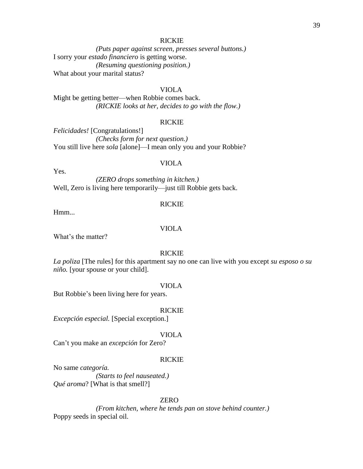#### RICKIE

*(Puts paper against screen, presses several buttons.)* I sorry your *estado financiero* is getting worse. *(Resuming questioning position.)* What about your marital status?

# VIOLA

Might be getting better—when Robbie comes back. *(RICKIE looks at her, decides to go with the flow.)*

#### RICKIE

*Felicidades!* [Congratulations!] *(Checks form for next question.)* You still live here *sola* [alone]—I mean only you and your Robbie?

## VIOLA

Yes.

*(ZERO drops something in kitchen.)* Well, Zero is living here temporarily—just till Robbie gets back.

#### RICKIE

Hmm...

## VIOLA

What's the matter?

#### RICKIE

*La poliza* [The rules] for this apartment say no one can live with you except *su esposo o su niño.* [your spouse or your child].

#### VIOLA

But Robbie's been living here for years.

#### RICKIE

*Excepción especial.* [Special exception.]

#### VIOLA

Can't you make an *excepción* for Zero?

## RICKIE

No same *categoría. (Starts to feel nauseated.) Qué aroma*? [What is that smell?]

## ZERO

*(From kitchen, where he tends pan on stove behind counter.)* Poppy seeds in special oil.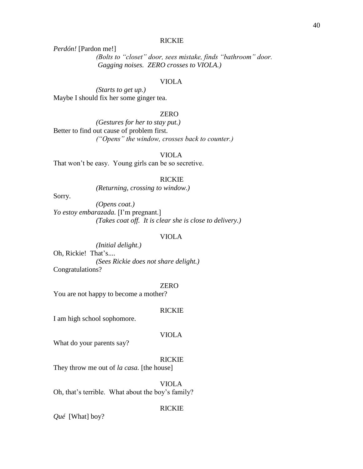## RICKIE

*Perdón!* [Pardon me!]

*(Bolts to "closet" door, sees mistake, finds "bathroom" door. Gagging noises. ZERO crosses to VIOLA.)*

#### VIOLA

*(Starts to get up.)* Maybe I should fix her some ginger tea.

#### ZERO

*(Gestures for her to stay put.)* Better to find out cause of problem first. *("Opens" the window, crosses back to counter.)*

#### VIOLA

That won't be easy. Young girls can be so secretive.

RICKIE

*(Returning, crossing to window.)*

Sorry.

*(Opens coat.) Yo estoy embarazada.* [I'm pregnant.] *(Takes coat off. It is clear she is close to delivery.)*

#### VIOLA

*(Initial delight.)* Oh, Rickie! That's.... *(Sees Rickie does not share delight.)* Congratulations?

#### ZERO

You are not happy to become a mother?

#### RICKIE

I am high school sophomore.

#### VIOLA

What do your parents say?

#### RICKIE

They throw me out of *la casa.* [the house]

VIOLA Oh, that's terrible. What about the boy's family?

#### RICKIE

*Qué* [What] boy?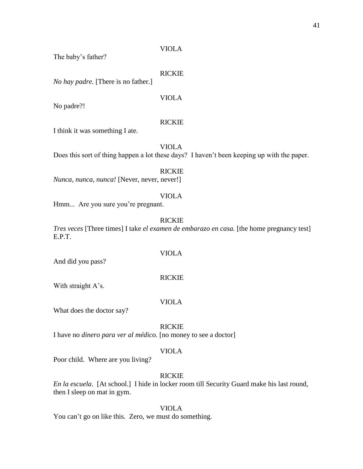The baby's father?

## RICKIE

*No hay padre.* [There is no father.]

VIOLA

No padre?!

## RICKIE

I think it was something I ate.

VIOLA Does this sort of thing happen a lot these days? I haven't been keeping up with the paper.

RICKIE *Nunca, nunca, nunca!* [Never, never, never!]

# VIOLA

Hmm... Are you sure you're pregnant.

#### RICKIE

*Tres veces* [Three times] I take *el examen de embarazo en casa.* [the home pregnancy test] E.P.T.

And did you pass?

#### RICKIE

VIOLA

With straight A's.

#### VIOLA

What does the doctor say?

#### RICKIE

I have no *dinero para ver al médico.* [no money to see a doctor]

## VIOLA

Poor child. Where are you living?

# RICKIE

*En la escuela*. [At school.] I hide in locker room till Security Guard make his last round, then I sleep on mat in gym.

## VIOLA

You can't go on like this. Zero, we must do something.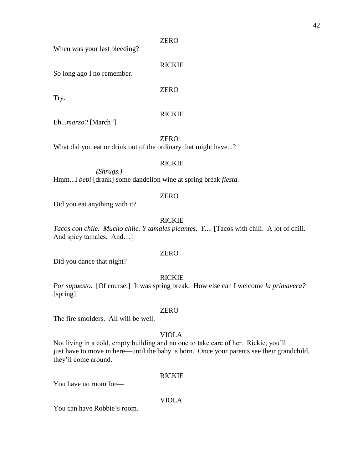When was your last bleeding?

RICKIE

So long ago I no remember.

ZERO

Try.

# RICKIE

Eh...*marzo?* [March?]

ZERO

What did you eat or drink out of the ordinary that might have...?

## RICKIE

*(Shrugs.)* Hmm...I *bebí* [drank] some dandelion wine at spring break *fiesta.*

# ZERO

Did you eat anything with it?

## RICKIE

*Tacos con chile. Mucho chile. Y tamales picantes*. *Y....* [Tacos with chili. A lot of chili. And spicy tamales. And…]

## ZERO

Did you dance that night?

## RICKIE

*Por supuesto.* [Of course.] It was spring break. How else can I welcome *la primavera?*  [spring]

## ZERO

The fire smolders. All will be well.

# VIOLA

Not living in a cold, empty building and no one to take care of her. Rickie, you'll just have to move in here—until the baby is born. Once your parents see their grandchild, they'll come around.

## RICKIE

You have no room for—

# VIOLA

You can have Robbie's room.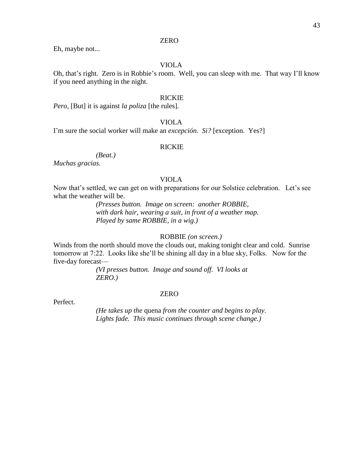Eh, maybe not...

# VIOLA

Oh, that's right. Zero is in Robbie's room. Well, you can sleep with me. That way I'll know if you need anything in the night.

## RICKIE

*Pero,* [But] it is against *la poliza* [the rules]*.*

# VIOLA

I'm sure the social worker will make an *excepción. Si?* [exception. Yes?]

## RICKIE

*(Beat.)*

*Muchas gracias.*

## VIOLA

Now that's settled, we can get on with preparations for our Solstice celebration. Let's see what the weather will be.

> *(Presses button. Image on screen: another ROBBIE, with dark hair, wearing a suit, in front of a weather map. Played by same ROBBIE, in a wig.)*

## ROBBIE *(on screen.)*

Winds from the north should move the clouds out, making tonight clear and cold. Sunrise tomorrow at 7:22. Looks like she'll be shining all day in a blue sky, Folks. Now for the five-day forecast—

> *(VI presses button. Image and sound off. VI looks at ZERO.)*

#### ZERO

Perfect.

*(He takes up the* quena *from the counter and begins to play. Lights fade. This music continues through scene change.)*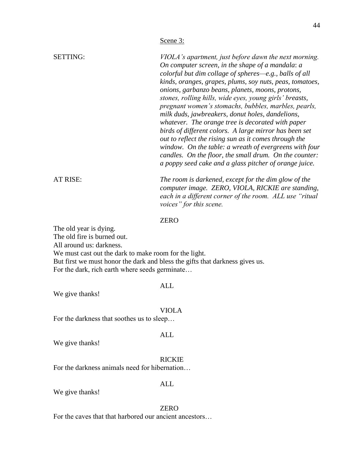| <b>SETTING:</b> | VIOLA's apartment, just before dawn the next morning.                                                            |
|-----------------|------------------------------------------------------------------------------------------------------------------|
|                 | On computer screen, in the shape of a mandala: a                                                                 |
|                 | colorful but dim collage of spheres—e.g., balls of all                                                           |
|                 | kinds, oranges, grapes, plums, soy nuts, peas, tomatoes,<br>onions, garbanzo beans, planets, moons, protons,     |
|                 | stones, rolling hills, wide eyes, young girls' breasts,                                                          |
|                 | pregnant women's stomachs, bubbles, marbles, pearls,                                                             |
|                 | milk duds, jawbreakers, donut holes, dandelions,                                                                 |
|                 | whatever. The orange tree is decorated with paper                                                                |
|                 | birds of different colors. A large mirror has been set                                                           |
|                 | out to reflect the rising sun as it comes through the                                                            |
|                 | window. On the table: a wreath of evergreens with four                                                           |
|                 | candles. On the floor, the small drum. On the counter:<br>a poppy seed cake and a glass pitcher of orange juice. |
|                 |                                                                                                                  |
| AT RISE:        | The room is darkened, except for the dim glow of the<br>computer image. ZERO, VIOLA, RICKIE are standing,        |
|                 | each in a different corner of the room. ALL use "ritual<br>voices" for this scene.                               |

The old year is dying.

The old fire is burned out.

All around us: darkness.

We must cast out the dark to make room for the light.

But first we must honor the dark and bless the gifts that darkness gives us. For the dark, rich earth where seeds germinate…

## ALL

We give thanks!

#### VIOLA

ALL

For the darkness that soothes us to sleep…

We give thanks!

## RICKIE

For the darkness animals need for hibernation…

We give thanks!

#### ZERO

ALL

For the caves that that harbored our ancient ancestors…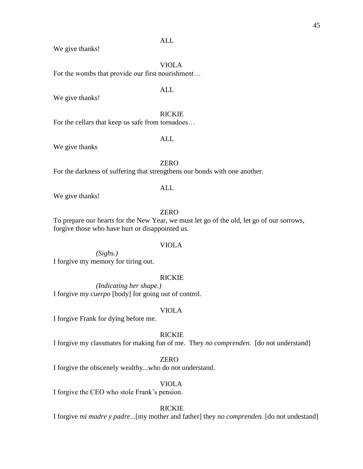## ALL

We give thanks!

VIOLA

For the wombs that provide our first nourishment…

## ALL

We give thanks!

# RICKIE

For the cellars that keep us safe from tornadoes…

# ALL

We give thanks

## ZERO

For the darkness of suffering that strengthens our bonds with one another.

## ALL

We give thanks!

## ZERO

To prepare our hearts for the New Year, we must let go of the old, let go of our sorrows, forgive those who have hurt or disappointed us.

## VIOLA

*(Sighs.)* I forgive my memory for tiring out.

# RICKIE

*(Indicating her shape.)* I forgive my *cuerpo* [body] for going out of control.

## VIOLA

I forgive Frank for dying before me.

## RICKIE

I forgive my classmates for making fun of me.They *no comprenden.* [do not understand]

# ZERO

I forgive the obscenely wealthy...who do not understand.

## VIOLA

I forgive the CEO who stole Frank's pension.

#### RICKIE

I forgive *mi madre y padre*...[my mother and father] they *no comprenden.* [do not undestand]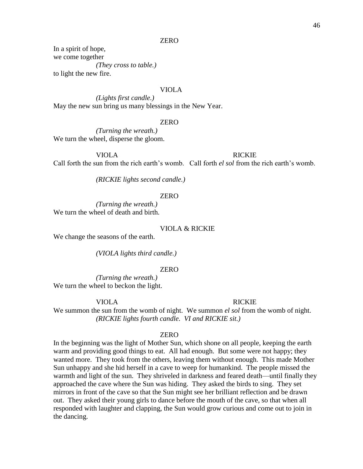In a spirit of hope, we come together *(They cross to table.)* to light the new fire.

## VIOLA

*(Lights first candle.)* May the new sun bring us many blessings in the New Year.

#### ZERO

*(Turning the wreath.)* We turn the wheel, disperse the gloom.

VIOLA RICKIE

Call forth the sun from the rich earth's womb. Call forth *el sol* from the rich earth's womb.

*(RICKIE lights second candle.)*

## ZERO

*(Turning the wreath.)* We turn the wheel of death and birth.

#### VIOLA & RICKIE

We change the seasons of the earth.

*(VIOLA lights third candle.)*

#### ZERO

*(Turning the wreath.)* We turn the wheel to beckon the light.

#### VIOLA RICKIE

We summon the sun from the womb of night. We summon *el sol* from the womb of night. *(RICKIE lights fourth candle. VI and RICKIE sit.)*

#### ZERO

In the beginning was the light of Mother Sun, which shone on all people, keeping the earth warm and providing good things to eat. All had enough. But some were not happy; they wanted more. They took from the others, leaving them without enough. This made Mother Sun unhappy and she hid herself in a cave to weep for humankind. The people missed the warmth and light of the sun. They shriveled in darkness and feared death—until finally they approached the cave where the Sun was hiding. They asked the birds to sing. They set mirrors in front of the cave so that the Sun might see her brilliant reflection and be drawn out. They asked their young girls to dance before the mouth of the cave, so that when all responded with laughter and clapping, the Sun would grow curious and come out to join in the dancing.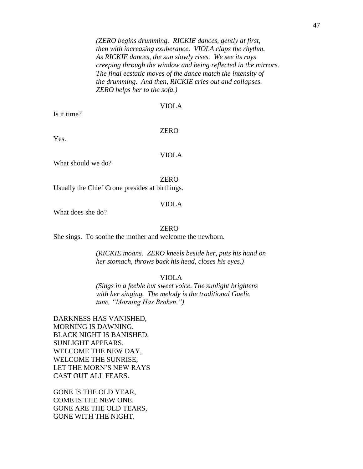*(ZERO begins drumming. RICKIE dances, gently at first, then with increasing exuberance. VIOLA claps the rhythm. As RICKIE dances, the sun slowly rises. We see its rays creeping through the window and being reflected in the mirrors. The final ecstatic moves of the dance match the intensity of the drumming. And then, RICKIE cries out and collapses. ZERO helps her to the sofa.)*

## VIOLA

Is it time?

## ZERO

Yes.

VIOLA

What should we do?

ZERO

Usually the Chief Crone presides at birthings.

#### VIOLA

What does she do?

## ZERO

She sings. To soothe the mother and welcome the newborn.

*(RICKIE moans. ZERO kneels beside her, puts his hand on her stomach, throws back his head, closes his eyes.)*

## VIOLA

*(Sings in a feeble but sweet voice. The sunlight brightens with her singing. The melody is the traditional Gaelic tune, "Morning Has Broken.")*

DARKNESS HAS VANISHED, MORNING IS DAWNING. BLACK NIGHT IS BANISHED, SUNLIGHT APPEARS. WELCOME THE NEW DAY, WELCOME THE SUNRISE, LET THE MORN'S NEW RAYS CAST OUT ALL FEARS.

GONE IS THE OLD YEAR, COME IS THE NEW ONE. GONE ARE THE OLD TEARS, GONE WITH THE NIGHT.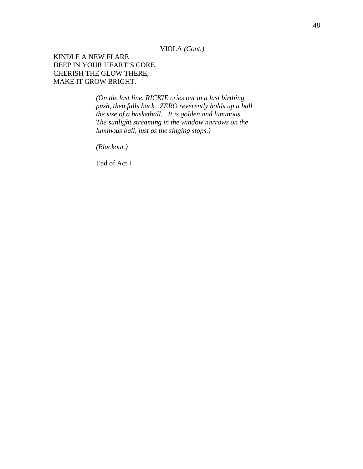VIOLA *(Cont.)*

KINDLE A NEW FLARE DEEP IN YOUR HEART'S CORE, CHERISH THE GLOW THERE, MAKE IT GROW BRIGHT.

> *(On the last line, RICKIE cries out in a last birthing push, then falls back. ZERO reverently holds up a ball the size of a basketball. It is golden and luminous. The sunlight streaming in the window narrows on the luminous ball, just as the singing stops.)*

*(Blackout.)*

End of Act I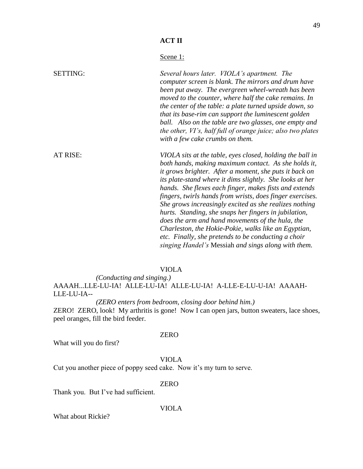# Scene<sub>1</sub>:

| <b>SETTING:</b> | Several hours later. VIOLA's apartment. The<br>computer screen is blank. The mirrors and drum have<br>been put away. The evergreen wheel-wreath has been<br>moved to the counter, where half the cake remains. In<br>the center of the table: a plate turned upside down, so<br>that its base-rim can support the luminescent golden<br>ball. Also on the table are two glasses, one empty and<br>the other, VI's, half full of orange juice; also two plates<br>with a few cake crumbs on them.                                                                                                                                                                                                            |
|-----------------|-------------------------------------------------------------------------------------------------------------------------------------------------------------------------------------------------------------------------------------------------------------------------------------------------------------------------------------------------------------------------------------------------------------------------------------------------------------------------------------------------------------------------------------------------------------------------------------------------------------------------------------------------------------------------------------------------------------|
| AT RISE:        | VIOLA sits at the table, eyes closed, holding the ball in<br>both hands, making maximum contact. As she holds it,<br>it grows brighter. After a moment, she puts it back on<br>its plate-stand where it dims slightly. She looks at her<br>hands. She flexes each finger, makes fists and extends<br>fingers, twirls hands from wrists, does finger exercises.<br>She grows increasingly excited as she realizes nothing<br>hurts. Standing, she snaps her fingers in jubilation,<br>does the arm and hand movements of the hula, the<br>Charleston, the Hokie-Pokie, walks like an Egyptian,<br>etc. Finally, she pretends to be conducting a choir<br>singing Handel's Messiah and sings along with them. |

## VIOLA

*(Conducting and singing.)* AAAAH...LLE-LU-IA! ALLE-LU-IA! ALLE-LU-IA! A-LLE-E-LU-U-IA! AAAAH-LLE-LU-IA--

*(ZERO enters from bedroom, closing door behind him.)* ZERO! ZERO, look! My arthritis is gone! Now I can open jars, button sweaters, lace shoes, peel oranges, fill the bird feeder.

#### ZERO

What will you do first?

# VIOLA

Cut you another piece of poppy seed cake. Now it's my turn to serve.

## ZERO

Thank you. But I've had sufficient.

VIOLA

What about Rickie?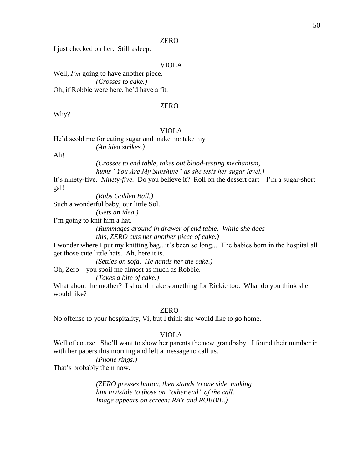I just checked on her. Still asleep.

## VIOLA

Well, *I'm* going to have another piece. *(Crosses to cake.)* Oh, if Robbie were here, he'd have a fit.

## ZERO

Why?

# VIOLA

He'd scold me for eating sugar and make me take my—

*(An idea strikes.)*

Ah!

*(Crosses to end table, takes out blood-testing mechanism, hums "You Are My Sunshine" as she tests her sugar level.)*

It's ninety-five. *Ninety-five.* Do you believe it? Roll on the dessert cart—I'm a sugar-short gal!

*(Rubs Golden Ball.)*

Such a wonderful baby, our little Sol.

*(Gets an idea.)*

I'm going to knit him a hat.

*(Rummages around in drawer of end table. While she does this, ZERO cuts her another piece of cake.)*

I wonder where I put my knitting bag...it's been so long... The babies born in the hospital all get those cute little hats. Ah, here it is.

*(Settles on sofa. He hands her the cake.)*

Oh, Zero—you spoil me almost as much as Robbie.

*(Takes a bite of cake.)*

What about the mother? I should make something for Rickie too. What do you think she would like?

#### ZERO

No offense to your hospitality, Vi, but I think she would like to go home.

#### VIOLA

Well of course. She'll want to show her parents the new grandbaby. I found their number in with her papers this morning and left a message to call us.

# *(Phone rings.)*

That's probably them now.

*(ZERO presses button, then stands to one side, making him invisible to those on "other end" of the call. Image appears on screen: RAY and ROBBIE.)*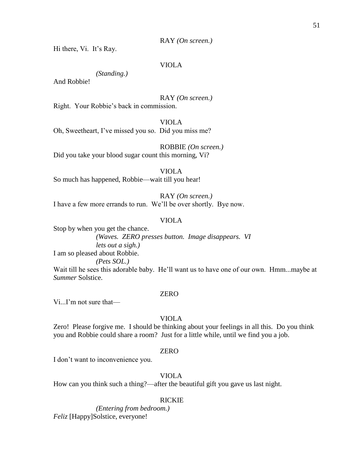RAY *(On screen.)*

Hi there, Vi. It's Ray.

## VIOLA

*(Standing.)*

And Robbie!

RAY *(On screen.)*

Right. Your Robbie's back in commission.

VIOLA

Oh, Sweetheart, I've missed you so. Did you miss me?

ROBBIE *(On screen.)* Did you take your blood sugar count this morning, Vi?

VIOLA

So much has happened, Robbie—wait till you hear!

RAY *(On screen.)*

I have a few more errands to run. We'll be over shortly. Bye now.

## VIOLA

Stop by when you get the chance.

*(Waves. ZERO presses button. Image disappears. VI lets out a sigh.)*

I am so pleased about Robbie.

*(Pets SOL.)*

Wait till he sees this adorable baby. He'll want us to have one of our own. Hmm...maybe at *Summer* Solstice.

#### ZERO

Vi...I'm not sure that—

## VIOLA

Zero! Please forgive me. I should be thinking about your feelings in all this. Do you think you and Robbie could share a room? Just for a little while, until we find you a job.

## ZERO

I don't want to inconvenience you.

VIOLA

How can you think such a thing?—after the beautiful gift you gave us last night.

## RICKIE

*(Entering from bedroom.) Feliz* [Happy]Solstice, everyone!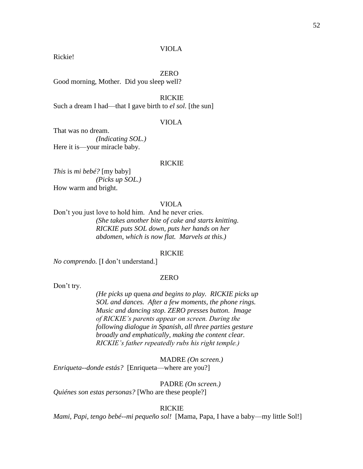Rickie!

#### ZERO

Good morning, Mother. Did you sleep well?

RICKIE Such a dream I had—that I gave birth to *el sol*. [the sun]

#### VIOLA

That was no dream. *(Indicating SOL.)* Here it is—your miracle baby.

#### RICKIE

*This* is *mi bebé?* [my baby] *(Picks up SOL.)* How warm and bright.

## VIOLA

Don't you just love to hold him. And he never cries. *(She takes another bite of cake and starts knitting. RICKIE puts SOL down, puts her hands on her abdomen, which is now flat. Marvels at this.)*

#### RICKIE

*No comprendo.* [I don't understand.]

## **ZERO**

Don't try.

*(He picks up* quena *and begins to play. RICKIE picks up SOL and dances. After a few moments, the phone rings. Music and dancing stop. ZERO presses button. Image of RICKIE's parents appear on screen. During the following dialogue in Spanish, all three parties gesture broadly and emphatically, making the content clear. RICKIE's father repeatedly rubs his right temple.)*

MADRE *(On screen.) Enriqueta--donde estás?* [Enriqueta—where are you?]

PADRE *(On screen.) Quiénes son estas personas?* [Who are these people?]

#### RICKIE

*Mami, Papi, tengo bebé--mi pequeño sol!* [Mama, Papa, I have a baby—my little Sol!]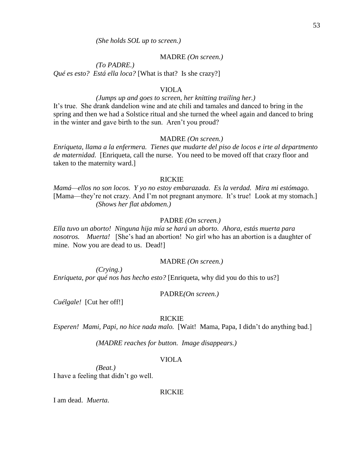MADRE *(On screen.)*

*(To PADRE.) Qué es esto? Está ella loca?* [What is that? Is she crazy?]

## VIOLA

#### *(Jumps up and goes to screen, her knitting trailing her.)*

It's true. She drank dandelion wine and ate chili and tamales and danced to bring in the spring and then we had a Solstice ritual and she turned the wheel again and danced to bring in the winter and gave birth to the sun. Aren't you proud?

#### MADRE *(On screen.)*

*Enriqueta, llama a la enfermera. Tienes que mudarte del piso de locos e irte al departmento de maternidad.* [Enriqueta, call the nurse. You need to be moved off that crazy floor and taken to the maternity ward.]

## RICKIE

*Mamá—ellos no son locos. Y yo no estoy embarazada. Es la verdad. Mira mi estómago.*  [Mama—they're not crazy. And I'm not pregnant anymore. It's true! Look at my stomach.] *(Shows her flat abdomen.)*

#### PADRE *(On screen.)*

*Ella tuvo un aborto! Ninguna hija mía se hará un aborto. Ahora, estás muerta para nosotros. Muerta!* [She's had an abortion! No girl who has an abortion is a daughter of mine. Now you are dead to us. Dead!]

## MADRE *(On screen.)*

*(Crying.) Enriqueta, por qué nos has hecho esto?* [Enriqueta, why did you do this to us?]

## PADRE*(On screen.)*

*Cuélgale!* [Cut her off!]

## RICKIE

*Esperen! Mami, Papi, no hice nada malo.* [Wait! Mama, Papa, I didn't do anything bad.]

*(MADRE reaches for button. Image disappears.)*

## VIOLA

*(Beat.)*

I have a feeling that didn't go well.

#### RICKIE

I am dead. *Muerta.*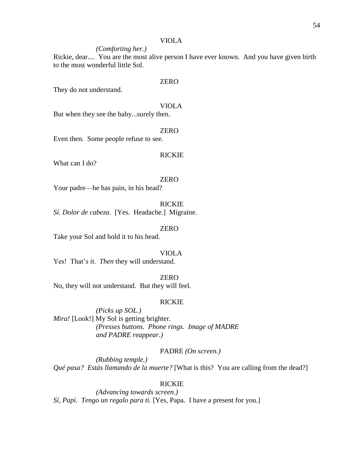*(Comforting her.)*

Rickie, dear.... You are the most alive person I have ever known. And you have given birth to the most wonderful little Sol.

## ZERO

They do not understand.

#### VIOLA

But when they see the baby...surely then.

## ZERO

Even then. Some people refuse to see.

#### RICKIE

What can I do?

#### ZERO

Your padre—he has pain, in his head?

## RICKIE

*Sí. Dolor de cabeza.* [Yes. Headache.] Migraine.

#### ZERO

Take your Sol and hold it to his head.

#### VIOLA

Yes! That's it. *Then* they will understand.

# ZERO

No, they will not understand. But they will feel.

## RICKIE

*(Picks up SOL.) Mira!* [Look!] My Sol is getting brighter. *(Presses buttons. Phone rings. Image of MADRE and PADRE reappear.)*

## PADRE *(On screen.)*

*(Rubbing temple.) Qué pasa? Estás llamando de la muerte?* [What is this? You are calling from the dead?]

## RICKIE

*(Advancing towards screen.) Sí, Papi. Tengo un regalo para ti.* [Yes, Papa. I have a present for you.]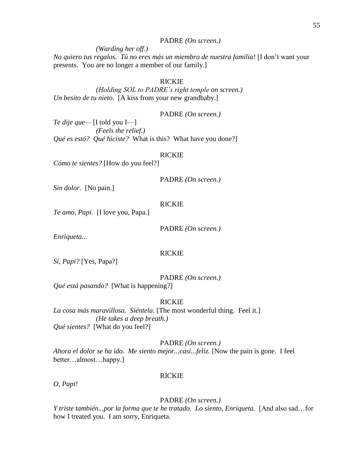## PADRE *(On screen.)*

*(Warding her off.)*

*No quiero tus regalos. Tú no eres más un miembro de nuestra familia!* [I don't want your presents. You are no longer a member of our family.]

## RICKIE

*(Holding SOL to PADRE's right temple on screen.) Un besito de tu nieto.* [A kiss from your new grandbaby.]

PADRE *(On screen.)*

*Te dije que—* [I told you I—] *(Feels the relief.) Qué es estó? Qué hiciste?* What is this? What have you done?]

#### RICKIE

*Cómo te sientes?* [How do you feel?]

PADRE *(On screen.)*

*Sin dolor.* [No pain.]

#### RICKIE

*Te amo, Papi.* [I love you, Papa.]

PADRE *(On screen.)*

*Enriqueta...*

#### RICKIE

*Sí, Papi?* [Yes, Papa?]

PADRE *(On screen.)*

*Qué está pasando?* [What is happening?]

#### RICKIE

*La cosa más maravillosa. Siéntela.* [The most wonderful thing. Feel it.] *(He takes a deep breath.) Qué sientes?* [What do you feel?]

## PADRE *(On screen.)*

*Ahora el dolor se ha ido. Me siento mejor...casi...feliz.* [Now the pain is gone. I feel better…almost…happy.]

#### RICKIE

*O, Papi!*

## PADRE *(On screen.)*

*Y triste también...por la forma que te he tratado. Lo siento, Enriqueta.* [And also sad...for how I treated you. I am sorry, Enriqueta.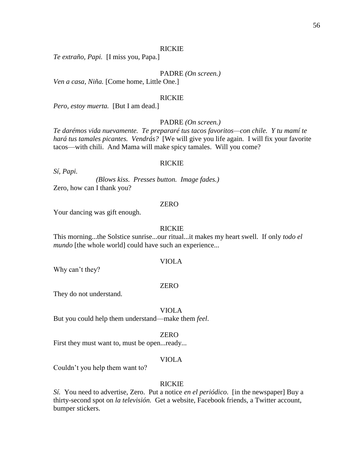## RICKIE

*Te extraño, Papi.* [I miss you, Papa.]

PADRE *(On screen.)*

*Ven a casa, Niña.* [Come home, Little One.]

#### RICKIE

*Pero, estoy muerta.* [But I am dead.]

## PADRE *(On screen.)*

*Te darémos vida nuevamente. Te prepararé tus tacos favoritos—con chile. Y tu mamí te hará tus tamales picantes. Vendrás?* [We will give you life again. I will fix your favorite tacos—with chili. And Mama will make spicy tamales. Will you come?

## RICKIE

*Sí, Papi.*

*(Blows kiss. Presses button. Image fades.)* Zero, how can I thank you?

#### ZERO

Your dancing was gift enough.

#### RICKIE

This morning...the Solstice sunrise...our ritual...it makes my heart swell. If only *todo el mundo* [the whole world] could have such an experience...

#### VIOLA

Why can't they?

#### ZERO

They do not understand.

VIOLA

But you could help them understand—make them *feel*.

#### ZERO

First they must want to, must be open...ready...

## VIOLA

Couldn't you help them want to?

## RICKIE

*Sí.* You need to advertise, Zero. Put a notice *en el periódico*. [in the newspaper] Buy a thirty-second spot on *la televisión.* Get a website, Facebook friends, a Twitter account, bumper stickers.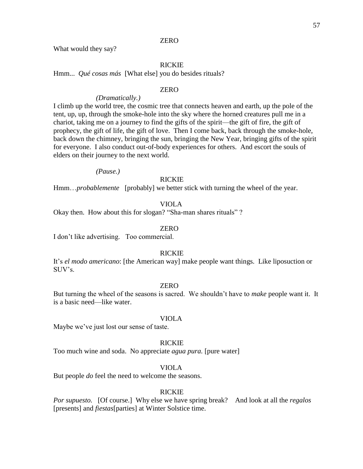What would they say?

## RICKIE

Hmm... *Qué cosas más* [What else] you do besides rituals?

## ZERO

#### *(Dramatically.)*

I climb up the world tree, the cosmic tree that connects heaven and earth, up the pole of the tent, up, up, through the smoke-hole into the sky where the horned creatures pull me in a chariot, taking me on a journey to find the gifts of the spirit—the gift of fire, the gift of prophecy, the gift of life, the gift of love. Then I come back, back through the smoke-hole, back down the chimney, bringing the sun, bringing the New Year, bringing gifts of the spirit for everyone. I also conduct out-of-body experiences for others. And escort the souls of elders on their journey to the next world.

*(Pause.)*

## RICKIE

Hmm...*probablemente* [probably] we better stick with turning the wheel of the year.

## VIOLA

Okay then. How about this for slogan? "Sha-man shares rituals" ?

#### ZERO

I don't like advertising. Too commercial.

#### RICKIE

It's *el modo americano*: [the American way] make people want things. Like liposuction or SUV's.

## ZERO

But turning the wheel of the seasons is sacred. We shouldn't have to *make* people want it. It is a basic need—like water.

#### VIOLA

Maybe we've just lost our sense of taste.

## RICKIE

Too much wine and soda. No appreciate *agua pura.* [pure water]

## VIOLA

But people *do* feel the need to welcome the seasons.

## RICKIE

*Por supuesto.* [Of course.] Why else we have spring break? And look at all the *regalos* [presents] and *fiestas*[parties] at Winter Solstice time.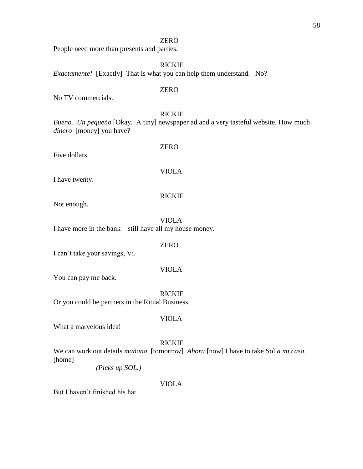People need more than presents and parties.

RICKIE *Exactamente!* [Exactly] That is what you can help them understand. No?

#### ZERO

No TV commercials.

## RICKIE

*Bueno. Un pequeño* [Okay. A tiny] newspaper ad and a very tasteful website. How much *dinero* [money] you have?

Five dollars.

# VIOLA

ZERO

I have twenty.

## RICKIE

Not enough.

VIOLA I have more in the bank—still have all my house money.

ZERO

I can't take your savings, Vi.

#### VIOLA

You can pay me back.

RICKIE

Or you could be partners in the Ritual Business.

#### VIOLA

What a marvelous idea!

# RICKIE

We can work out details *mañana.* [tomorrow] *Ahora* [now] I have to take Sol *a mi casa.*  [home]

*(Picks up SOL.)*

## VIOLA

But I haven't finished his hat.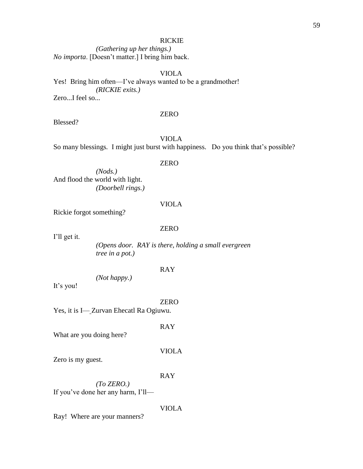## RICKIE

*(Gathering up her things.) No importa*. [Doesn't matter.] I bring him back.

## VIOLA

Yes! Bring him often—I've always wanted to be a grandmother! *(RICKIE exits.)* Zero...I feel so...

#### ZERO

Blessed?

# VIOLA

So many blessings*.* I might just burst with happiness. Do you think that's possible?

#### ZERO

*(Nods.)* And flood the world with light. *(Doorbell rings.)*

#### VIOLA

Rickie forgot something?

## ZERO

I'll get it.

*(Opens door. RAY is there, holding a small evergreen tree in a pot.)*

#### RAY

*(Not happy.)*

It's you!

#### ZERO

Yes, it is I— Zurvan Ehecatl Ra Ogiuwu.

RAY

What are you doing here?

#### VIOLA

Zero is my guest.

#### RAY

*(To ZERO.)* If you've done her any harm, I'll—

#### VIOLA

Ray! Where are your manners?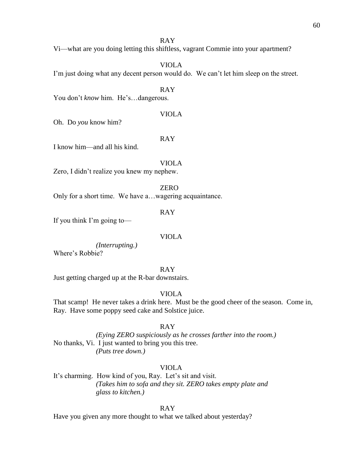RAY

Vi—what are you doing letting this shiftless, vagrant Commie into your apartment?

VIOLA

I'm just doing what any decent person would do. We can't let him sleep on the street.

RAY

You don't *know* him. He's...dangerous.

VIOLA

Oh. Do *you* know him?

RAY

I know him—and all his kind.

VIOLA

Zero, I didn't realize you knew my nephew.

ZERO

Only for a short time. We have a…wagering acquaintance.

RAY

If you think I'm going to—

#### VIOLA

*(Interrupting.)* Where's Robbie?

RAY

Just getting charged up at the R-bar downstairs.

VIOLA

That scamp! He never takes a drink here. Must be the good cheer of the season. Come in, Ray. Have some poppy seed cake and Solstice juice.

RAY

*(Eying ZERO suspiciously as he crosses farther into the room.)* No thanks, Vi. I just wanted to bring you this tree. *(Puts tree down.)*

VIOLA

It's charming. How kind of you, Ray. Let's sit and visit. *(Takes him to sofa and they sit. ZERO takes empty plate and glass to kitchen.)*

RAY

Have you given any more thought to what we talked about yesterday?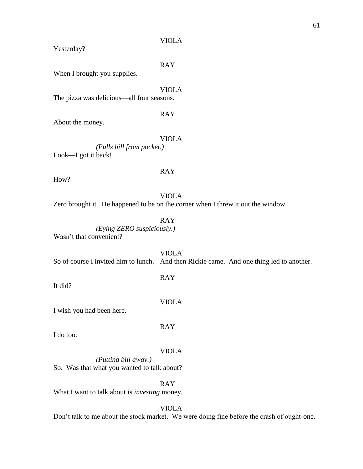Yesterday?

RAY

When I brought you supplies.

VIOLA The pizza was delicious—all four seasons.

About the money.

# VIOLA

RAY

*(Pulls bill from pocket.)* Look—I got it back!

## RAY

How?

## VIOLA

Zero brought it. He happened to be on the corner when I threw it out the window.

## RAY

*(Eying ZERO suspiciously.)* Wasn't that convenient?

VIOLA So of course I invited him to lunch. And then Rickie came. And one thing led to another.

It did?

I wish you had been here.

RAY

I do too.

## VIOLA

*(Putting bill away.)* So. Was that what you wanted to talk about?

RAY

What I want to talk about is *investing* money.

VIOLA

Don't talk to me about the stock market. We were doing fine before the crash of ought-one.

# RAY

VIOLA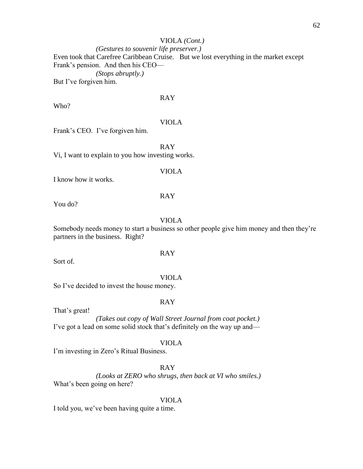# VIOLA *(Cont.)*

*(Gestures to souvenir life preserver.)* Even took that Carefree Caribbean Cruise. But we lost everything in the market except Frank's pension. And then his CEO— *(Stops abruptly.)* But I've forgiven him.

# RAY

Who?

#### VIOLA

Frank's CEO. I've forgiven him.

RAY Vi, I want to explain to you how investing works.

#### VIOLA

I know how it works.

#### RAY

You do?

#### VIOLA

Somebody needs money to start a business so other people give him money and then they're partners in the business. Right?

Sort of.

#### VIOLA

RAY

So I've decided to invest the house money.

## RAY

That's great!

*(Takes out copy of Wall Street Journal from coat pocket.)* I've got a lead on some solid stock that's definitely on the way up and—

## VIOLA

I'm investing in Zero's Ritual Business.

## RAY

*(Looks at ZERO who shrugs, then back at VI who smiles.)* What's been going on here?

# VIOLA

I told you, we've been having quite a time.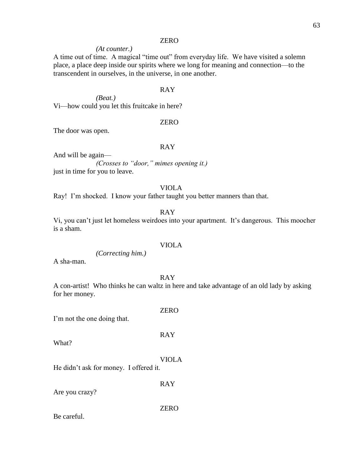# *(At counter.)*

A time out of time. A magical "time out" from everyday life. We have visited a solemn place, a place deep inside our spirits where we long for meaning and connection—to the transcendent in ourselves, in the universe, in one another.

#### RAY

*(Beat.)* Vi—how could you let this fruitcake in here?

#### ZERO

The door was open.

## RAY

And will be again— *(Crosses to "door," mimes opening it.)* just in time for you to leave.

## VIOLA

Ray! I'm shocked. I know your father taught you better manners than that.

## RAY

Vi, you can't just let homeless weirdoes into your apartment. It's dangerous. This moocher is a sham.

#### VIOLA

*(Correcting him.)*

A sha-man.

RAY

A con-artist! Who thinks he can waltz in here and take advantage of an old lady by asking for her money.

I'm not the one doing that.

What?

VIOLA

RAY

He didn't ask for money. I offered it.

Are you crazy?

ZERO

RAY

Be careful.

# ZERO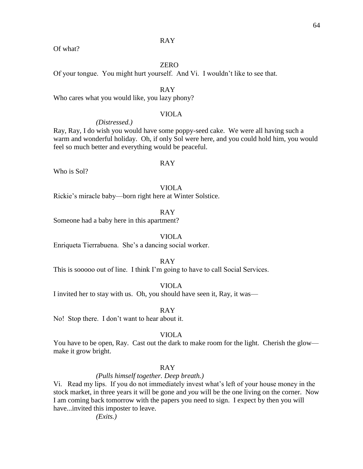## RAY

#### Of what?

# ZERO

Of your tongue. You might hurt yourself. And Vi. I wouldn't like to see that.

## RAY

Who cares what you would like, you lazy phony?

## VIOLA

*(Distressed.)*

Ray, Ray, I do wish you would have some poppy-seed cake. We were all having such a warm and wonderful holiday. Oh, if only Sol were here, and you could hold him, you would feel so much better and everything would be peaceful.

#### RAY

Who is Sol?

## VIOLA

Rickie's miracle baby—born right here at Winter Solstice.

RAY

Someone had a baby here in this apartment?

VIOLA

Enriqueta Tierrabuena. She's a dancing social worker.

RAY

This is sooooo out of line. I think I'm going to have to call Social Services.

VIOLA

I invited her to stay with us. Oh, you should have seen it, Ray, it was—

RAY

No! Stop there. I don't want to hear about it.

#### VIOLA

You have to be open, Ray. Cast out the dark to make room for the light. Cherish the glow make it grow bright.

## RAY

#### *(Pulls himself together. Deep breath.)*

Vi. Read my lips. If you do not immediately invest what's left of your house money in the stock market, in three years it will be gone and *you* will be the one living on the corner. Now I am coming back tomorrow with the papers you need to sign. I expect by then you will have...invited this imposter to leave.

*(Exits.)*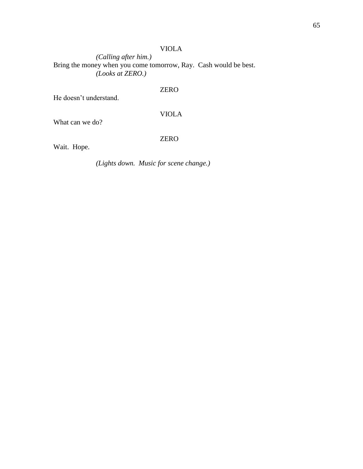*(Calling after him.)* Bring the money when you come tomorrow, Ray. Cash would be best. *(Looks at ZERO.)*

# ZERO

He doesn't understand.

# VIOLA

What can we do?

# ZERO

Wait. Hope.

*(Lights down. Music for scene change.)*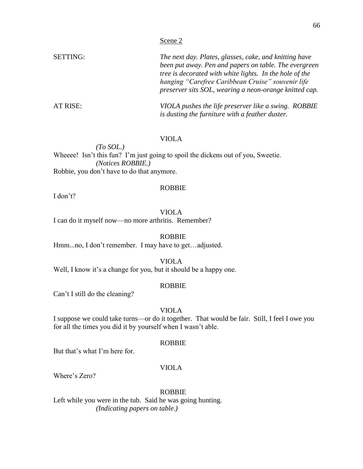| <b>SETTING:</b> | The next day. Plates, glasses, cake, and knitting have  |  |  |
|-----------------|---------------------------------------------------------|--|--|
|                 | been put away. Pen and papers on table. The evergreen   |  |  |
|                 | tree is decorated with white lights. In the hole of the |  |  |
|                 | hanging "Carefree Caribbean Cruise" souvenir life       |  |  |
|                 | preserver sits SOL, wearing a neon-orange knitted cap.  |  |  |
| AT RISE:        | VIOLA pushes the life preserver like a swing. ROBBIE    |  |  |
|                 | is dusting the furniture with a feather duster.         |  |  |

*(To SOL.)* Wheeee! Isn't this fun? I'm just going to spoil the dickens out of you, Sweetie. *(Notices ROBBIE.)* Robbie, you don't have to do that anymore.

I don't?

# VIOLA

ROBBIE

I can do it myself now—no more arthritis. Remember?

ROBBIE

Hmm...no, I don't remember. I may have to get…adjusted.

VIOLA

Well, I know it's a change for you, but it should be a happy one.

#### ROBBIE

Can't I still do the cleaning?

#### VIOLA

I suppose we could take turns—or do it together. That would be fair. Still, I feel I owe you for all the times you did it by yourself when I wasn't able.

## ROBBIE

But that's what I'm here for.

#### VIOLA

Where's Zero?

## ROBBIE

Left while you were in the tub. Said he was going hunting. *(Indicating papers on table.)*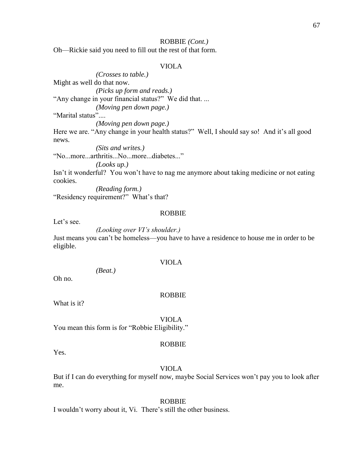#### ROBBIE *(Cont.)*

Oh—Rickie said you need to fill out the rest of that form.

## VIOLA

*(Crosses to table.)* Might as well do that now. *(Picks up form and reads.)* "Any change in your financial status?" We did that. ...

*(Moving pen down page.)*

"Marital status"....

*(Moving pen down page.)*

Here we are. "Any change in your health status?" Well, I should say so! And it's all good news.

*(Sits and writes.)* "No...more...arthritis...No...more...diabetes..."

*(Looks up.)*

Isn't it wonderful? You won't have to nag me anymore about taking medicine or not eating cookies.

*(Reading form.)* "Residency requirement?" What's that?

#### ROBBIE

Let's see.

#### *(Looking over VI's shoulder.)*

Just means you can't be homeless—you have to have a residence to house me in order to be eligible.

#### VIOLA

*(Beat.)*

Oh no.

#### ROBBIE

What is it?

#### VIOLA

You mean this form is for "Robbie Eligibility."

#### ROBBIE

Yes.

#### VIOLA

But if I can do everything for myself now, maybe Social Services won't pay you to look after me.

## ROBBIE

I wouldn't worry about it, Vi. There's still the other business.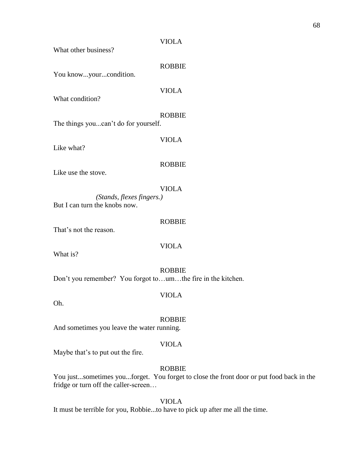| What other business?                                              | <b>VIOLA</b>  |
|-------------------------------------------------------------------|---------------|
| You knowyourcondition.                                            | <b>ROBBIE</b> |
| What condition?                                                   | <b>VIOLA</b>  |
|                                                                   | <b>ROBBIE</b> |
| The things youcan't do for yourself.                              |               |
| Like what?                                                        | <b>VIOLA</b>  |
| Like use the stove.                                               | <b>ROBBIE</b> |
|                                                                   |               |
| (Stands, flexes fingers.)<br>But I can turn the knobs now.        | <b>VIOLA</b>  |
| That's not the reason.                                            | <b>ROBBIE</b> |
| What is?                                                          | <b>VIOLA</b>  |
| Don't you remember? You forgot toumthe fire in the kitchen.       | <b>ROBBIE</b> |
| Oh.                                                               | VIOLA         |
| And sometimes you leave the water running.                        | <b>ROBBIE</b> |
| Maybe that's to put out the fire.                                 | <b>VIOLA</b>  |
| You just, sometimes you, forget. You forget to close the front do | <b>ROBBIE</b> |

You just...sometimes you...forget. You forget to close the front door or put food back in the fridge or turn off the caller-screen…

VIOLA

It must be terrible for you, Robbie...to have to pick up after me all the time.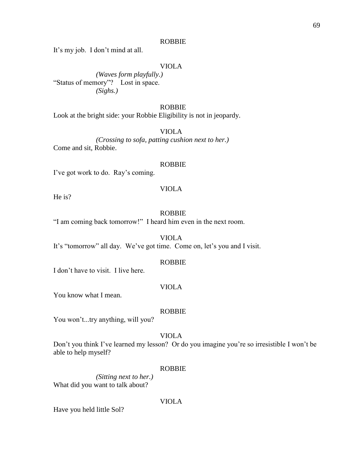#### ROBBIE

It's my job. I don't mind at all.

## VIOLA

*(Waves form playfully.)* "Status of memory"? Lost in space. *(Sighs.)*

#### ROBBIE

Look at the bright side: your Robbie Eligibility is not in jeopardy.

# VIOLA

*(Crossing to sofa, patting cushion next to her.)* Come and sit, Robbie.

#### ROBBIE

I've got work to do. Ray's coming.

He is?

#### ROBBIE

VIOLA

"I am coming back tomorrow!" I heard him even in the next room.

VIOLA

It's "tomorrow" all day. We've got time. Come on, let's you and I visit.

#### ROBBIE

I don't have to visit. I live here.

## VIOLA

You know what I mean.

#### ROBBIE

You won't...try anything, will you?

## VIOLA

Don't you think I've learned my lesson? Or do you imagine you're so irresistible I won't be able to help myself?

## ROBBIE

*(Sitting next to her.)* What did you want to talk about?

## VIOLA

Have you held little Sol?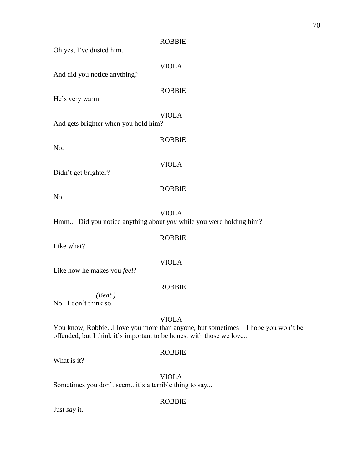| Oh yes, I've dusted him.                                          | <b>ROBBIE</b> |
|-------------------------------------------------------------------|---------------|
| And did you notice anything?                                      | <b>VIOLA</b>  |
| He's very warm.                                                   | <b>ROBBIE</b> |
| And gets brighter when you hold him?                              | <b>VIOLA</b>  |
| No.                                                               | <b>ROBBIE</b> |
| Didn't get brighter?                                              | <b>VIOLA</b>  |
| No.                                                               | <b>ROBBIE</b> |
| Hmm Did you notice anything about you while you were holding him? | <b>VIOLA</b>  |
| Like what?                                                        | <b>ROBBIE</b> |
| Like how he makes you feel?                                       | <b>VIOLA</b>  |
| (Beat.)                                                           | <b>ROBBIE</b> |
| No. I don't think so.                                             |               |
|                                                                   | <b>VIOLA</b>  |

You know, Robbie...I love you more than anyone, but sometimes—I hope you won't be offended, but I think it's important to be honest with those we love...

# ROBBIE

What is it?

VIOLA Sometimes you don't seem...it's a terrible thing to say...

ROBBIE

Just *say* it.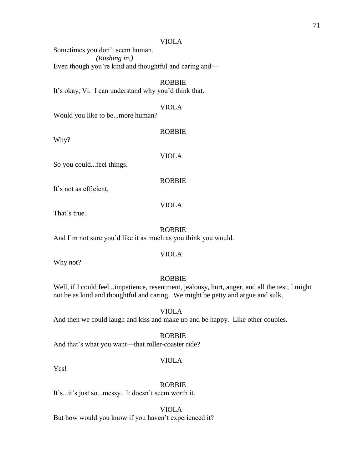Sometimes you don't seem human. *(Rushing in.)* Even though you're kind and thoughtful and caring and—

# ROBBIE

It's okay, Vi. I can understand why you'd think that.

# VIOLA

Would you like to be...more human?

Why?

VIOLA

ROBBIE

So you could...feel things.

ROBBIE

It's not as efficient.

That's true.

## ROBBIE

VIOLA

And I'm not sure you'd like it as much as you think you would.

## VIOLA

Why not?

#### ROBBIE

Well, if I could feel...impatience, resentment, jealousy, hurt, anger, and all the rest, I might not be as kind and thoughtful and caring. We might be petty and argue and sulk.

#### VIOLA

And then we could laugh and kiss and make up and be happy. Like other couples.

#### ROBBIE

And that's what you want—that roller-coaster ride?

## VIOLA

Yes!

#### ROBBIE

It's...it's just so...messy. It doesn't seem worth it.

VIOLA

But how would you know if you haven't experienced it?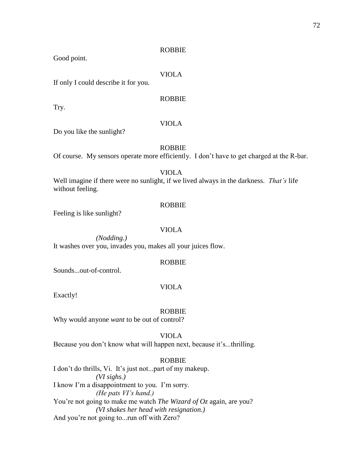#### ROBBIE

Good point.

#### VIOLA

If only I could describe it for you.

## ROBBIE

Try.

## VIOLA

Do you like the sunlight?

## ROBBIE

Of course. My sensors operate more efficiently. I don't have to get charged at the R-bar.

## VIOLA

Well imagine if there were no sunlight, if we lived always in the darkness. *That's* life without feeling.

#### ROBBIE

Feeling is like sunlight?

## VIOLA

*(Nodding.)* It washes over you, invades you, makes all your juices flow.

#### ROBBIE

Sounds...out-of-control.

## VIOLA

Exactly!

#### ROBBIE

Why would anyone *want* to be out of control?

VIOLA

Because you don't know what will happen next, because it's...thrilling.

#### ROBBIE

I don't do thrills, Vi. It's just not...part of my makeup. *(VI sighs.)* I know I'm a disappointment to you. I'm sorry. *(He pats VI's hand.)* You're not going to make me watch *The Wizard of Oz* again, are you? *(VI shakes her head with resignation.)* And you're not going to...run off with Zero?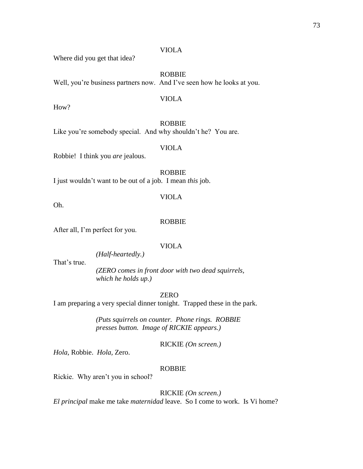Where did you get that idea?

ROBBIE

VIOLA

Well, you're business partners now. And I've seen how he looks at you.

How?

ROBBIE

Like you're somebody special. And why shouldn't he? You are.

VIOLA

Robbie! I think you *are* jealous.

ROBBIE I just wouldn't want to be out of a job. I mean *this* job.

Oh.

## ROBBIE

VIOLA

After all, I'm perfect for you.

#### VIOLA

*(Half-heartedly.)*

That's true.

*(ZERO comes in front door with two dead squirrels, which he holds up.)*

ZERO

I am preparing a very special dinner tonight.Trapped these in the park.

*(Puts squirrels on counter. Phone rings. ROBBIE presses button. Image of RICKIE appears.)*

RICKIE *(On screen.)*

*Hola,* Robbie. *Hola,* Zero.

## ROBBIE

Rickie. Why aren't you in school?

## RICKIE *(On screen.)*

*El principal* make me take *maternidad* leave. So I come to work. Is Vi home?

# VIOLA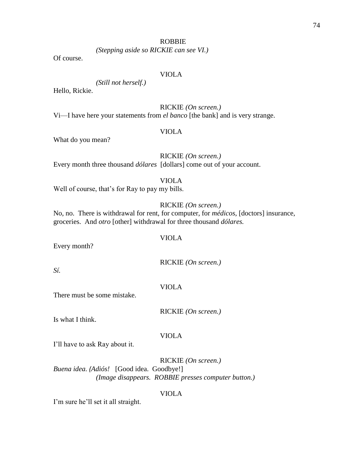#### ROBBIE

*(Stepping aside so RICKIE can see VI.)*

Of course.

#### VIOLA

*(Still not herself.)*

Hello, Rickie.

## RICKIE *(On screen.)*

Vi—I have here your statements from *el banco* [the bank] and is very strange.

#### VIOLA

What do you mean?

## RICKIE *(On screen.)*

Every month three thousand *dólares* [dollars] come out of your account.

## VIOLA

Well of course, that's for Ray to pay my bills.

## RICKIE *(On screen.)*

No, no. There is withdrawal for rent, for computer, for *médicos*, [doctors] insurance, groceries. And *otro* [other] withdrawal for three thousand *dólares.*

Every month?

RICKIE *(On screen.)*

*Sí.*

VIOLA

There must be some mistake.

RICKIE *(On screen.)*

Is what I think.

VIOLA

I'll have to ask Ray about it.

RICKIE *(On screen.) Buena idea. (Adiós!* [Good idea. Goodbye!] *(Image disappears. ROBBIE presses computer button.)*

VIOLA

I'm sure he'll set it all straight.

VIOLA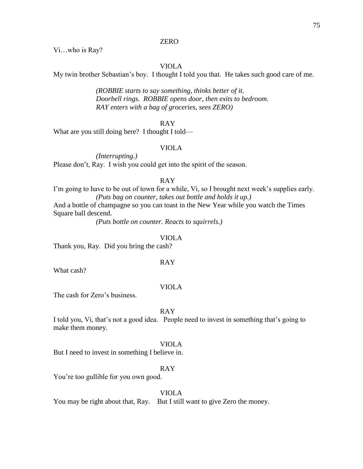Vi…who is Ray?

#### VIOLA

My twin brother Sebastian's boy. I thought I told you that. He takes such good care of me.

*(ROBBIE starts to say something, thinks better of it. Doorbell rings. ROBBIE opens door, then exits to bedroom. RAY enters with a bag of groceries, sees ZERO)*

#### RAY

What are you still doing here? I thought I told—

## VIOLA

*(Interrupting.)* Please don't, Ray. I wish you could get into the spirit of the season.

#### RAY

I'm going to have to be out of town for a while, Vi, so I brought next week's supplies early. *(Puts bag on counter, takes out bottle and holds it up.)*

And a bottle of champagne so you can toast in the New Year while you watch the Times Square ball descend.

*(Puts bottle on counter. Reacts to squirrels.)*

#### VIOLA

Thank you, Ray. Did you bring the cash?

#### RAY

What cash?

## VIOLA

The cash for Zero's business.

#### RAY

I told you, Vi, that's not a good idea. People need to invest in something that's going to make them money.

#### VIOLA

But I need to invest in something I believe in.

## RAY

You're too gullible for you own good.

#### VIOLA

You may be right about that, Ray. But I still want to give Zero the money.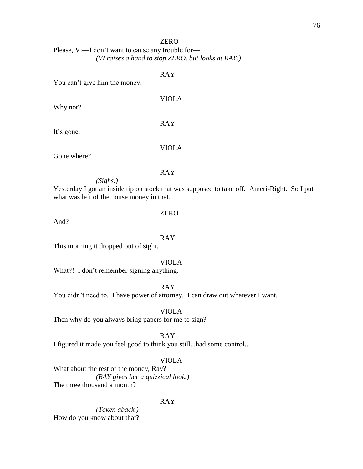Please, Vi—I don't want to cause any trouble for— *(VI raises a hand to stop ZERO, but looks at RAY.)*

## RAY

VIOLA

You can't give him the money.

Why not?

RAY

It's gone.

Gone where?

#### RAY

VIOLA

*(Sighs.)*

Yesterday I got an inside tip on stock that was supposed to take off. Ameri-Right. So I put what was left of the house money in that.

#### And?

## RAY

ZERO

This morning it dropped out of sight.

#### VIOLA

What?! I don't remember signing anything.

RAY

You didn't need to. I have power of attorney. I can draw out whatever I want.

VIOLA

Then why do you always bring papers for me to sign?

RAY

I figured it made you feel good to think you still...had some control...

#### VIOLA

What about the rest of the money, Ray? *(RAY gives her a quizzical look.)*  The three thousand a month?

#### RAY

*(Taken aback.)* How do you know about that?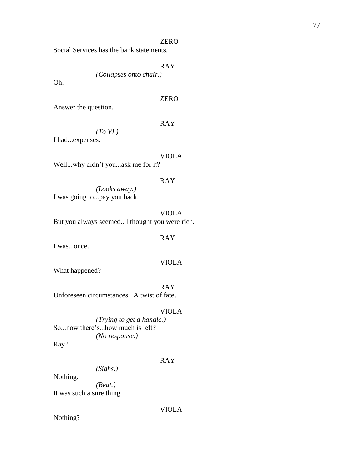Social Services has the bank statements.

RAY

*(Collapses onto chair.)*

Oh.

## ZERO

Answer the question.

## RAY

*(To VI.)*

I had...expenses.

## VIOLA

Well...why didn't you...ask me for it?

#### RAY

*(Looks away.)* I was going to...pay you back.

VIOLA

But you always seemed...I thought you were rich.

## RAY

I was...once.

## VIOLA

What happened?

RAY Unforeseen circumstances. A twist of fate.

#### VIOLA

*(Trying to get a handle.)* So...now there's...how much is left? *(No response.)*

Ray?

#### RAY

*(Sighs.)*

Nothing.

*(Beat.)* It was such a sure thing.

VIOLA

Nothing?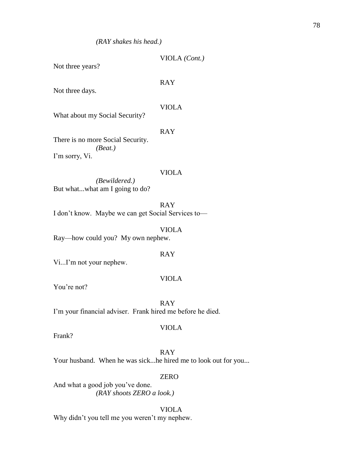| Not three years?                                                                       | VIOLA (Cont.) |
|----------------------------------------------------------------------------------------|---------------|
| Not three days.                                                                        | <b>RAY</b>    |
| What about my Social Security?                                                         | <b>VIOLA</b>  |
| There is no more Social Security.                                                      | RAY           |
| (Beat.)<br>I'm sorry, Vi.                                                              |               |
| (Bewildered.)<br>But whatwhat am I going to do?                                        | <b>VIOLA</b>  |
| I don't know. Maybe we can get Social Services to-                                     | RAY           |
| $D_{\text{av}}$ , $L_{\text{av}}$ cand $L_{\text{av}}$ , $M_{\text{v}}$ are nearly are | VIOLA         |

Ray—how could you? My own nephew.

## RAY

Vi...I'm not your nephew.

#### VIOLA

You're not?

RAY I'm your financial adviser. Frank hired me before he died.

#### VIOLA

Frank?

RAY Your husband. When he was sick...he hired me to look out for you...

#### ZERO

And what a good job you've done. *(RAY shoots ZERO a look.)*

VIOLA

Why didn't you tell me you weren't my nephew.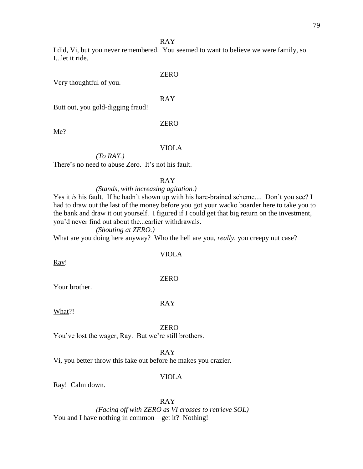#### RAY

I did, Vi, but you never remembered. You seemed to want to believe we were family, so I...let it ride.

#### ZERO

Very thoughtful of you.

## RAY

Butt out, you gold-digging fraud!

#### ZERO

Me?

## VIOLA

*(To RAY.)* There's no need to abuse Zero. It's not his fault.

#### RAY

#### *(Stands, with increasing agitation.)*

Yes it *is* his fault. If he hadn't shown up with his hare-brained scheme.... Don't you see? I had to draw out the last of the money before you got your wacko boarder here to take you to the bank and draw it out yourself. I figured if I could get that big return on the investment, you'd never find out about the...earlier withdrawals.

#### *(Shouting at ZERO.)*

What are you doing here anyway? Who the hell are you, *really,* you creepy nut case?

#### VIOLA

Ray!

#### ZERO

RAY

Your brother.

## What?!

#### ZERO

You've lost the wager, Ray. But we're still brothers.

#### RAY

Vi, you better throw this fake out before he makes you crazier.

#### VIOLA

Ray! Calm down.

#### RAY

*(Facing off with ZERO as VI crosses to retrieve SOL)* You and I have nothing in common—get it? Nothing!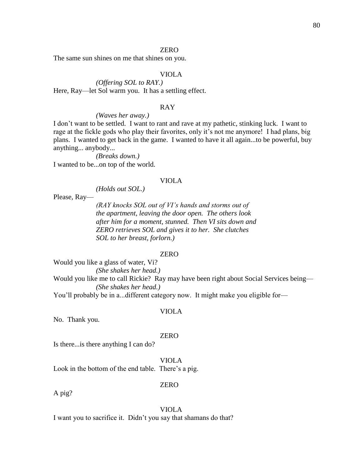The same sun shines on me that shines on you.

#### VIOLA

*(Offering SOL to RAY.)* Here, Ray—let Sol warm you. It has a settling effect.

#### RAY

#### *(Waves her away.)*

I don't want to be settled. I want to rant and rave at my pathetic, stinking luck. I want to rage at the fickle gods who play their favorites, only it's not me anymore! I had plans, big plans. I wanted to get back in the game. I wanted to have it all again...to be powerful, buy anything... anybody...

*(Breaks down.)* I wanted to be...on top of the world.

#### VIOLA

*(Holds out SOL.)*

Please, Ray—

*(RAY knocks SOL out of VI's hands and storms out of the apartment, leaving the door open. The others look after him for a moment, stunned. Then VI sits down and ZERO retrieves SOL and gives it to her. She clutches SOL to her breast, forlorn.)*

#### ZERO

Would you like a glass of water, Vi?

*(She shakes her head.)* Would you like me to call Rickie? Ray may have been right about Social Services being—

*(She shakes her head.)*

You'll probably be in a...different category now. It might make you eligible for-

#### VIOLA

No. Thank you.

#### ZERO

Is there...is there anything I can do?

#### VIOLA

Look in the bottom of the end table. There's a pig.

#### ZERO

A pig?

VIOLA

I want you to sacrifice it. Didn't you say that shamans do that?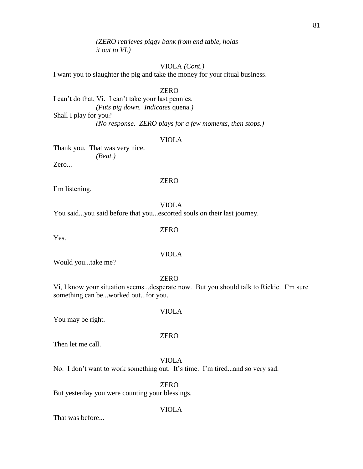*(ZERO retrieves piggy bank from end table, holds it out to VI.)*

## VIOLA *(Cont.)*

I want you to slaughter the pig and take the money for your ritual business.

#### ZERO

I can't do that, Vi. I can't take your last pennies. *(Puts pig down. Indicates* quena.*)* Shall I play for you? *(No response. ZERO plays for a few moments, then stops.)*

#### VIOLA

Thank you. That was very nice. *(Beat.)* Zero...

#### ZERO

I'm listening.

## VIOLA

You said...you said before that you...escorted souls on their last journey.

#### ZERO

Yes.

## VIOLA

Would you...take me?

#### ZERO

VIOLA

ZERO

Vi, I know your situation seems...desperate now. But you should talk to Rickie. I'm sure something can be...worked out...for you.

#### You may be right.

Then let me call.

VIOLA No. I don't want to work something out. It's time. I'm tired...and so very sad.

## ZERO

But yesterday you were counting your blessings.

#### VIOLA

That was before...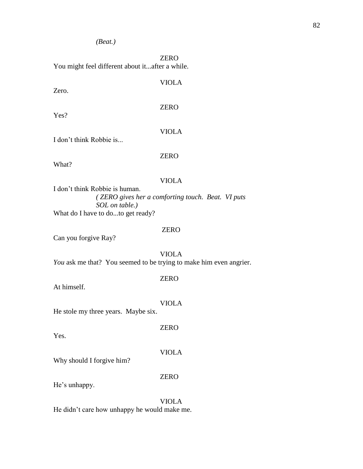*(Beat.)*

ZERO You might feel different about it...after a while.

Zero.

Yes?

ZERO

VIOLA

## VIOLA

I don't think Robbie is...

ZERO

What?

#### VIOLA

I don't think Robbie is human. *( ZERO gives her a comforting touch. Beat. VI puts SOL on table.)* What do I have to do...to get ready?

#### ZERO

ZERO

ZERO

VIOLA

Can you forgive Ray?

VIOLA *You* ask me that? You seemed to be trying to make him even angrier.

At himself.

VIOLA

He stole my three years. Maybe six.

Yes.

Why should I forgive him?

ZERO

He's unhappy.

VIOLA He didn't care how unhappy he would make me.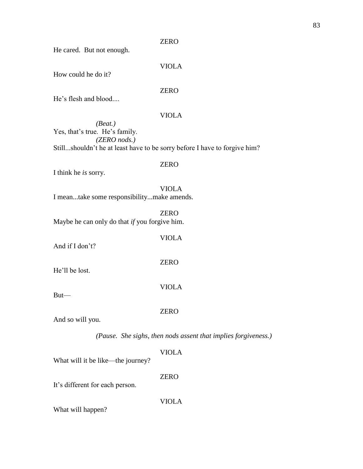He cared. But not enough.

VIOLA

How could he do it?

## ZERO

He's flesh and blood....

## VIOLA

*(Beat.)* Yes, that's true. He's family. *(ZERO nods.)* Still...shouldn't he at least have to be sorry before I have to forgive him?

## ZERO

VIOLA

ZERO

VIOLA

ZERO

I think he *is* sorry.

VIOLA I mean...take some responsibility...make amends.

ZERO Maybe he can only do that *if* you forgive him.

And if I don't?

He'll be lost.

But—

And so will you.

*(Pause. She sighs, then nods assent that implies forgiveness.)*

#### VIOLA

What will it be like—the journey?

ZERO

VIOLA

It's different for each person.

What will happen?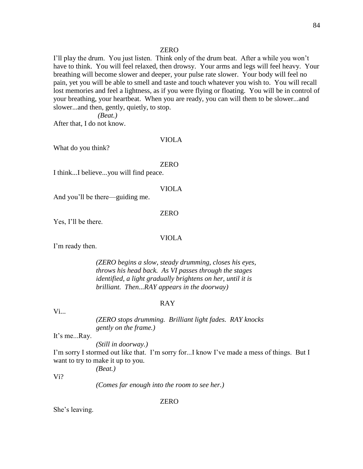I'll play the drum. You just listen. Think only of the drum beat. After a while you won't have to think. You will feel relaxed, then drowsy. Your arms and legs will feel heavy. Your breathing will become slower and deeper, your pulse rate slower. Your body will feel no pain, yet you will be able to smell and taste and touch whatever you wish to. You will recall lost memories and feel a lightness, as if you were flying or floating. You will be in control of your breathing, your heartbeat. When you are ready, you can will them to be slower...and slower...and then, gently, quietly, to stop.

*(Beat.)*

After that, I do not know.

VIOLA

What do you think?

#### ZERO

I think...I believe...you will find peace.

VIOLA

And you'll be there—guiding me.

ZERO

Yes, I'll be there.

#### VIOLA

I'm ready then.

*(ZERO begins a slow, steady drumming, closes his eyes, throws his head back. As VI passes through the stages identified, a light gradually brightens on her, until it is brilliant. Then...RAY appears in the doorway)*

#### RAY

 $Vi_{\cdots}$ 

*(ZERO stops drumming. Brilliant light fades. RAY knocks gently on the frame.)*

It's me...Ray.

*(Still in doorway.)*

I'm sorry I stormed out like that. I'm sorry for...I know I've made a mess of things. But I want to try to make it up to you.

*(Beat.)*

Vi?

*(Comes far enough into the room to see her.)*

ZERO

She's leaving.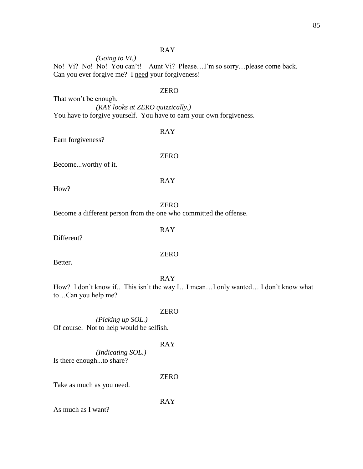#### RAY

*(Going to VI.)*

No! Vi? No! No! You can't! Aunt Vi? Please…I'm so sorry…please come back. Can you ever forgive me? I need your forgiveness!

#### ZERO

That won't be enough. *(RAY looks at ZERO quizzically.)* You have to forgive yourself. You have to earn your own forgiveness.

#### RAY

Earn forgiveness?

ZERO

RAY

Become...worthy of it.

How?

## ZERO

Become a different person from the one who committed the offense.

#### RAY

Different?

## ZERO

Better.

#### RAY

How? I don't know if.. This isn't the way I…I mean…I only wanted… I don't know what to…Can you help me?

#### ZERO

*(Picking up SOL.)* Of course. Not to help would be selfish.

#### RAY

*(Indicating SOL.)* Is there enough...to share?

#### ZERO

Take as much as you need.

RAY

As much as I want?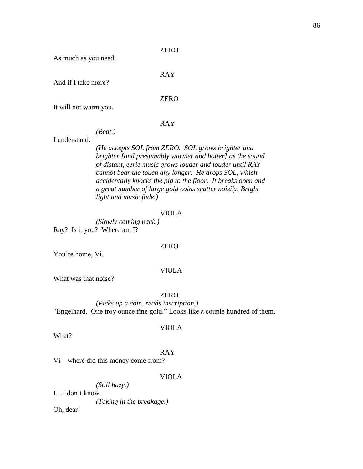As much as you need.

And if I take more?

ZERO

RAY

It will not warm you.

#### RAY

## *(Beat.)*

I understand.

*(He accepts SOL from ZERO. SOL grows brighter and brighter [and presumably warmer and hotter] as the sound of distant, eerie music grows louder and louder until RAY cannot bear the touch any longer. He drops SOL, which accidentally knocks the pig to the floor. It breaks open and a great number of large gold coins scatter noisily. Bright light and music fade.)* 

#### VIOLA

*(Slowly coming back.)*  Ray? Is it you? Where am I?

#### ZERO

You're home, Vi.

#### VIOLA

What was that noise?

#### ZERO

*(Picks up a coin, reads inscription.)* "Engelhard. One troy ounce fine gold." Looks like a couple hundred of them.

#### VIOLA

What?

## RAY

Vi—where did this money come from?

#### VIOLA

*(Still hazy.)* I…I don't know.

*(Taking in the breakage.)*

Oh, dear!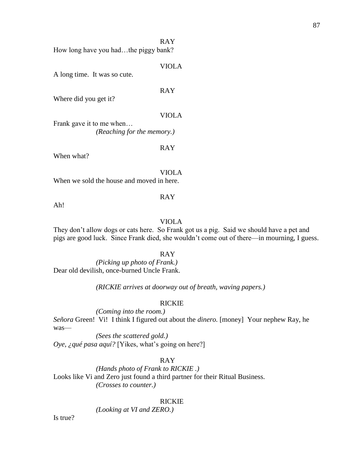RAY

How long have you had...the piggy bank?

VIOLA

A long time. It was so cute.

RAY

Where did you get it?

VIOLA

Frank gave it to me when… *(Reaching for the memory.)*

RAY

When what?

VIOLA

When we sold the house and moved in here.

Ah!

## RAY

## VIOLA

They don't allow dogs or cats here. So Frank got us a pig. Said we should have a pet and pigs are good luck. Since Frank died, she wouldn't come out of there—in mourning, I guess.

RAY

*(Picking up photo of Frank.)* Dear old devilish, once-burned Uncle Frank.

*(RICKIE arrives at doorway out of breath, waving papers.)*

#### RICKIE

*(Coming into the room.) Señora* Green! Vi! I think I figured out about the *dinero.* [money] Your nephew Ray, he was—

*(Sees the scattered gold.) Oye, ¿qué pasa aquí?* [Yikes, what's going on here?]

#### RAY

*(Hands photo of Frank to RICKIE .)* Looks like Vi and Zero just found a third partner for their Ritual Business. *(Crosses to counter.)*

#### RICKIE

*(Looking at VI and ZERO.)*

Is true?